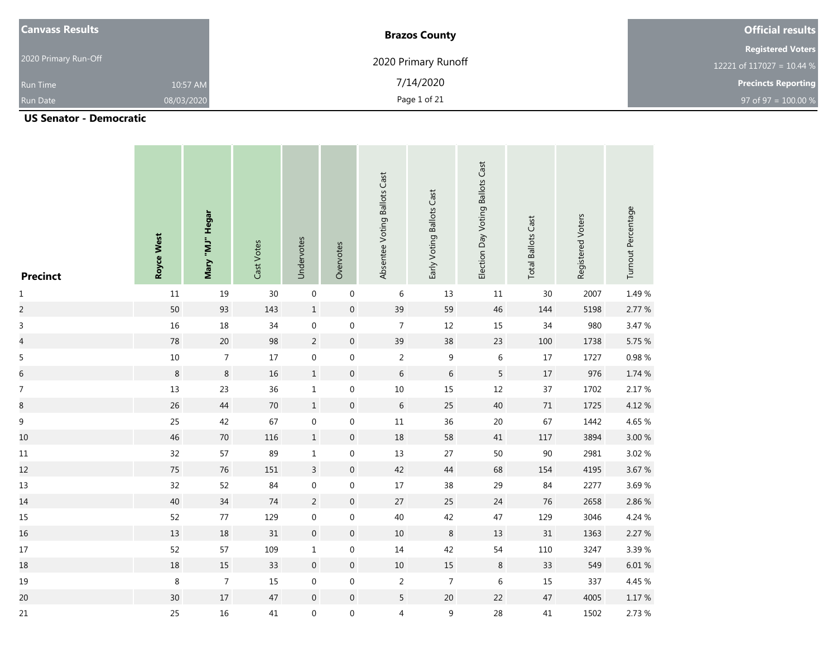| <b>Canvass Results</b> |            | <b>Brazos County</b> | <b>Official results</b>     |
|------------------------|------------|----------------------|-----------------------------|
|                        |            |                      | <b>Registered Voters</b>    |
| 2020 Primary Run-Off   |            | 2020 Primary Runoff  | 12221 of 117027 = 10.44 $%$ |
| <b>Run Time</b>        | 10:57 AM   | 7/14/2020            | <b>Precincts Reporting</b>  |
| <b>Run Date</b>        | 08/03/2020 | Page 1 of 21         | 97 of 97 = $100.00 %$       |

| <b>Precinct</b> | Royce West | Mary "MJ" Hegar  | Cast Votes | Undervotes       | Overvotes        | Absentee Voting Ballots Cast | Early Voting Ballots Cast | Election Day Voting Ballots Cast | <b>Total Ballots Cast</b> | Registered Voters | Turnout Percentage |
|-----------------|------------|------------------|------------|------------------|------------------|------------------------------|---------------------------|----------------------------------|---------------------------|-------------------|--------------------|
| $\mathbf{1}$    | $11\,$     | 19               | 30         | $\boldsymbol{0}$ | $\mathbf 0$      | 6                            | 13                        | 11                               | $30\,$                    | 2007              | 1.49%              |
| $\overline{a}$  | 50         | 93               | 143        | $\mathbf 1$      | $\boldsymbol{0}$ | 39                           | 59                        | 46                               | 144                       | 5198              | 2.77 %             |
| $\mathsf{3}$    | 16         | 18               | 34         | $\boldsymbol{0}$ | $\boldsymbol{0}$ | $\overline{7}$               | $12\,$                    | $15\,$                           | 34                        | 980               | 3.47 %             |
| $\overline{a}$  | 78         | $20\,$           | 98         | $\overline{2}$   | $\boldsymbol{0}$ | 39                           | $38\,$                    | 23                               | $100\,$                   | 1738              | 5.75 %             |
| 5               | $10\,$     | $\boldsymbol{7}$ | 17         | $\boldsymbol{0}$ | $\boldsymbol{0}$ | $\overline{2}$               | $\boldsymbol{9}$          | $\,$ 6 $\,$                      | $17\,$                    | 1727              | 0.98%              |
| 6               | $\,8\,$    | $\,8\,$          | $16\,$     | $\mathbf 1$      | $\boldsymbol{0}$ | $6\phantom{a}$               | $6\,$                     | 5                                | $17\,$                    | 976               | 1.74%              |
| $\overline{7}$  | 13         | 23               | 36         | $1\,$            | $\mathbf 0$      | $10\,$                       | 15                        | $12\,$                           | $37\,$                    | 1702              | 2.17%              |
| 8               | 26         | $44\,$           | $70\,$     | $\mathbf 1$      | $\boldsymbol{0}$ | $6\,$                        | 25                        | $40\,$                           | $71\,$                    | 1725              | 4.12%              |
| 9               | 25         | 42               | 67         | $\mathbf 0$      | $\boldsymbol{0}$ | $11\,$                       | 36                        | $20\,$                           | 67                        | 1442              | 4.65%              |
| 10              | 46         | $70\,$           | 116        | $\mathbf 1$      | $\boldsymbol{0}$ | $18\,$                       | 58                        | 41                               | $117\,$                   | 3894              | 3.00 %             |
| 11              | 32         | 57               | 89         | $1\,$            | $\boldsymbol{0}$ | $13\,$                       | 27                        | $50\,$                           | $90\,$                    | 2981              | 3.02%              |
| 12              | 75         | $76\,$           | 151        | $\overline{3}$   | $\boldsymbol{0}$ | 42                           | $44$                      | 68                               | 154                       | 4195              | 3.67 %             |
| 13              | 32         | 52               | 84         | $\mathbf 0$      | $\mathbf 0$      | $17\,$                       | $38\,$                    | 29                               | 84                        | 2277              | 3.69%              |
| 14              | $40\,$     | $34\,$           | $74\,$     | $\overline{2}$   | $\boldsymbol{0}$ | 27                           | 25                        | $24\,$                           | $76\,$                    | 2658              | 2.86 %             |
| 15              | 52         | $77$             | 129        | $\mathbf 0$      | $\mathbf 0$      | 40                           | 42                        | 47                               | 129                       | 3046              | 4.24 %             |
| 16              | $13\,$     | $18\,$           | 31         | $\boldsymbol{0}$ | $\boldsymbol{0}$ | $10\,$                       | $\,8\,$                   | $13\,$                           | $31\,$                    | 1363              | 2.27 %             |
| $17\,$          | 52         | 57               | 109        | $\mathbf{1}$     | $\boldsymbol{0}$ | $14\,$                       | 42                        | 54                               | $110\,$                   | 3247              | 3.39%              |
| 18              | $18\,$     | $15\,$           | 33         | $\boldsymbol{0}$ | $\boldsymbol{0}$ | $10\,$                       | 15                        | $\, 8$                           | 33                        | 549               | $6.01\,\%$         |
| 19              | $\,8\,$    | $\overline{7}$   | 15         | $\boldsymbol{0}$ | $\boldsymbol{0}$ | $\overline{2}$               | $\boldsymbol{7}$          | $\,6\,$                          | $15\,$                    | 337               | 4.45 %             |
| 20              | 30         | 17               | 47         | $\boldsymbol{0}$ | $\boldsymbol{0}$ | 5                            | $20\,$                    | 22                               | 47                        | 4005              | $1.17\ \%$         |
| 21              | 25         | 16               | 41         | $\mathbf 0$      | $\pmb{0}$        | $\overline{4}$               | 9                         | 28                               | $41\,$                    | 1502              | 2.73 %             |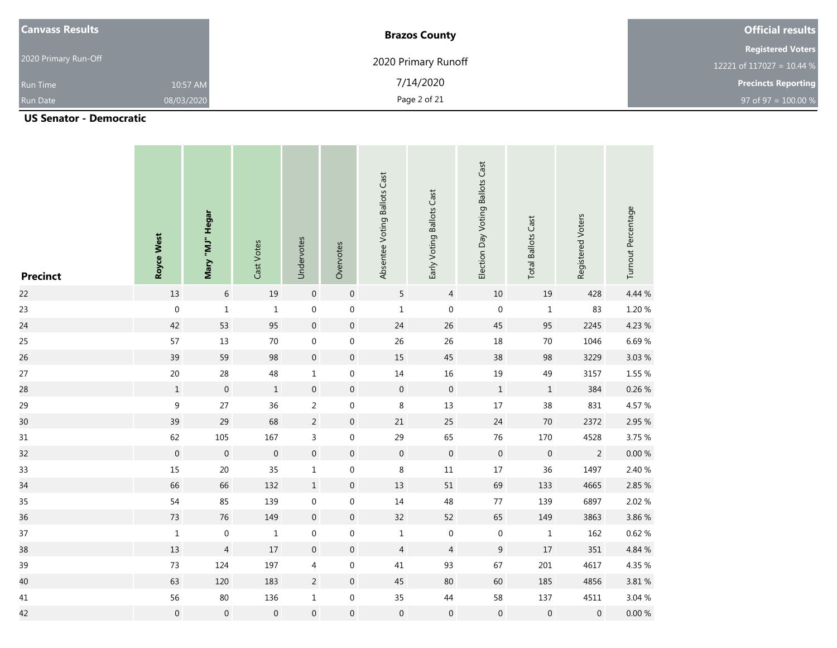| <b>Canvass Results</b> |            | <b>Brazos County</b> | <b>Official results</b>     |
|------------------------|------------|----------------------|-----------------------------|
|                        |            |                      | <b>Registered Voters</b>    |
| 2020 Primary Run-Off   |            | 2020 Primary Runoff  | 12221 of 117027 = 10.44 $%$ |
| <b>Run Time</b>        | 10:57 AM   | 7/14/2020            | <b>Precincts Reporting</b>  |
| <b>Run Date</b>        | 08/03/2020 | Page 2 of 21         | 97 of 97 = $100.00 %$       |

| <b>Precinct</b> | Royce West       | Mary "MJ" Hegar  | Cast Votes       | Undervotes       | Overvotes        | Absentee Voting Ballots Cast | Early Voting Ballots Cast | Election Day Voting Ballots Cast | <b>Total Ballots Cast</b> | Registered Voters | Turnout Percentage |
|-----------------|------------------|------------------|------------------|------------------|------------------|------------------------------|---------------------------|----------------------------------|---------------------------|-------------------|--------------------|
| 22              | $13\,$           | $\,$ 6 $\,$      | $19\,$           | $\mathbf 0$      | $\boldsymbol{0}$ | 5                            | $\overline{4}$            | $10\,$                           | $19\,$                    | 428               | 4.44 %             |
| 23              | $\boldsymbol{0}$ | $\mathbf 1$      | $\,1\,$          | $\boldsymbol{0}$ | $\boldsymbol{0}$ | $\mathbf 1$                  | $\boldsymbol{0}$          | $\pmb{0}$                        | $\mathbf 1$               | 83                | 1.20%              |
| 24              | 42               | 53               | 95               | $\boldsymbol{0}$ | $\boldsymbol{0}$ | 24                           | 26                        | 45                               | 95                        | 2245              | 4.23 %             |
| 25              | 57               | $13\,$           | $70\,$           | $\boldsymbol{0}$ | $\boldsymbol{0}$ | $26\,$                       | $26\,$                    | $18\,$                           | $70\,$                    | 1046              | 6.69%              |
| 26              | 39               | 59               | 98               | $\boldsymbol{0}$ | $\boldsymbol{0}$ | 15                           | 45                        | 38                               | 98                        | 3229              | 3.03 %             |
| 27              | $20\,$           | 28               | 48               | $\mathbf 1$      | $\boldsymbol{0}$ | $14\,$                       | 16                        | 19                               | 49                        | 3157              | 1.55 %             |
| 28              | $\,1$            | $\mathbf 0$      | $\,1\,$          | $\boldsymbol{0}$ | $\boldsymbol{0}$ | $\boldsymbol{0}$             | $\boldsymbol{0}$          | $\,$ 1                           | $\,1\,$                   | 384               | 0.26%              |
| 29              | $\mathsf 9$      | 27               | 36               | $\overline{2}$   | $\boldsymbol{0}$ | 8                            | $13\,$                    | $17\,$                           | 38                        | 831               | 4.57%              |
| 30              | 39               | 29               | 68               | $\overline{2}$   | $\boldsymbol{0}$ | 21                           | 25                        | 24                               | $70\,$                    | 2372              | 2.95 %             |
| 31              | 62               | 105              | 167              | $\mathsf{3}$     | $\boldsymbol{0}$ | 29                           | 65                        | $76\,$                           | 170                       | 4528              | 3.75 %             |
| 32              | $\boldsymbol{0}$ | $\boldsymbol{0}$ | $\boldsymbol{0}$ | $\boldsymbol{0}$ | $\boldsymbol{0}$ | $\boldsymbol{0}$             | $\boldsymbol{0}$          | $\,0\,$                          | $\boldsymbol{0}$          | $\overline{2}$    | $0.00\,\%$         |
| 33              | 15               | $20\,$           | 35               | $\mathbf 1$      | $\boldsymbol{0}$ | 8                            | $11\,$                    | $17\,$                           | 36                        | 1497              | 2.40 %             |
| 34              | 66               | 66               | 132              | $\mathbf 1$      | $\boldsymbol{0}$ | $13\,$                       | $51\,$                    | 69                               | 133                       | 4665              | 2.85 %             |
| 35              | 54               | 85               | 139              | $\boldsymbol{0}$ | $\boldsymbol{0}$ | $14\,$                       | 48                        | $77\,$                           | 139                       | 6897              | 2.02%              |
| 36              | 73               | $76\,$           | 149              | $\boldsymbol{0}$ | $\boldsymbol{0}$ | 32                           | 52                        | 65                               | 149                       | 3863              | 3.86%              |
| 37              | $\mathbf 1$      | $\boldsymbol{0}$ | $\mathbf 1$      | $\boldsymbol{0}$ | $\boldsymbol{0}$ | $\mathbf 1$                  | $\boldsymbol{0}$          | $\boldsymbol{0}$                 | $\mathbf 1$               | 162               | 0.62 %             |
| 38              | 13               | $\overline{4}$   | $17\,$           | $\boldsymbol{0}$ | $\boldsymbol{0}$ | $\overline{4}$               | $\overline{4}$            | $\boldsymbol{9}$                 | $17\,$                    | 351               | 4.84 %             |
| 39              | 73               | 124              | 197              | $\overline{4}$   | $\boldsymbol{0}$ | $41\,$                       | 93                        | 67                               | 201                       | 4617              | 4.35 %             |
| 40              | 63               | 120              | 183              | $\overline{2}$   | $\boldsymbol{0}$ | $45\,$                       | $80\,$                    | 60                               | 185                       | 4856              | 3.81 %             |
| $41\,$          | 56               | $80\,$           | 136              | $\mathbf 1$      | $\boldsymbol{0}$ | 35                           | $44\,$                    | 58                               | 137                       | 4511              | 3.04 %             |
| 42              | $\boldsymbol{0}$ | $\boldsymbol{0}$ | $\boldsymbol{0}$ | $\boldsymbol{0}$ | $\boldsymbol{0}$ | $\boldsymbol{0}$             | $\boldsymbol{0}$          | $\boldsymbol{0}$                 | $\mathbf 0$               | $\boldsymbol{0}$  | $0.00\ \%$         |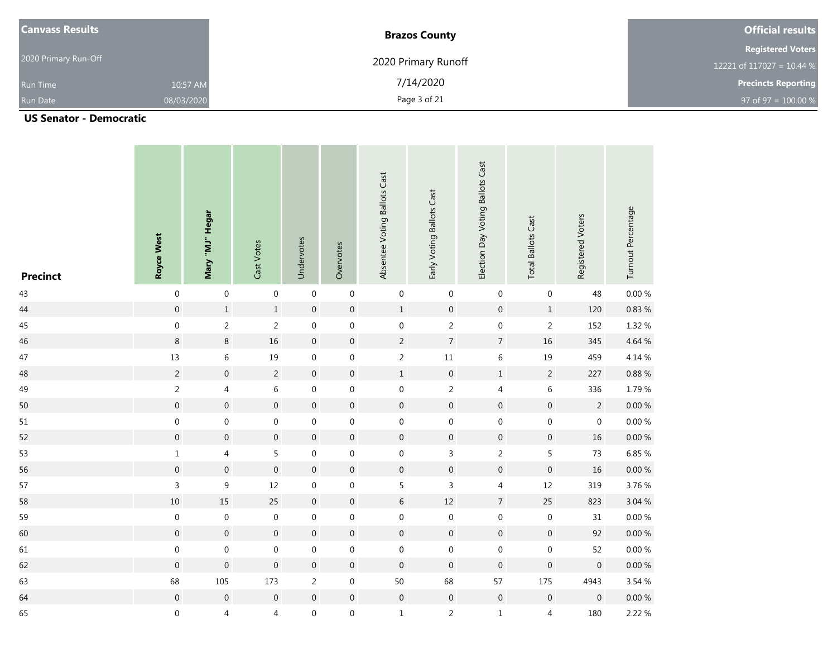| <b>Canvass Results</b> |            | <b>Brazos County</b> | <b>Official results</b>     |
|------------------------|------------|----------------------|-----------------------------|
|                        |            |                      | <b>Registered Voters</b>    |
| 2020 Primary Run-Off   |            | 2020 Primary Runoff  | 12221 of 117027 = 10.44 $%$ |
| <b>Run Time</b>        | 10:57 AM   | 7/14/2020            | <b>Precincts Reporting</b>  |
| <b>Run Date</b>        | 08/03/2020 | Page 3 of 21         | 97 of 97 = $100.00 %$       |

| <b>Precinct</b> | Royce West       | Mary "MJ" Hegar  | Cast Votes              | Undervotes       | Overvotes        | Absentee Voting Ballots Cast | Early Voting Ballots Cast | Election Day Voting Ballots Cast | <b>Total Ballots Cast</b> | Registered Voters | Turnout Percentage |
|-----------------|------------------|------------------|-------------------------|------------------|------------------|------------------------------|---------------------------|----------------------------------|---------------------------|-------------------|--------------------|
| 43              | $\boldsymbol{0}$ | $\boldsymbol{0}$ | $\boldsymbol{0}$        | $\boldsymbol{0}$ | $\boldsymbol{0}$ | $\mathbf 0$                  | $\boldsymbol{0}$          | $\boldsymbol{0}$                 | $\boldsymbol{0}$          | 48                | 0.00%              |
| 44              | $\boldsymbol{0}$ | $\,1$            | $\,1\,$                 | $\boldsymbol{0}$ | $\boldsymbol{0}$ | $\mathbf 1$                  | $\boldsymbol{0}$          | $\boldsymbol{0}$                 | $\,1$                     | 120               | $0.83~\%$          |
| 45              | $\boldsymbol{0}$ | $\sqrt{2}$       | $\sqrt{2}$              | $\boldsymbol{0}$ | $\boldsymbol{0}$ | $\boldsymbol{0}$             | $\overline{2}$            | $\boldsymbol{0}$                 | $\overline{2}$            | 152               | 1.32 %             |
| 46              | $\,8\,$          | $\,8\,$          | 16                      | $\boldsymbol{0}$ | $\boldsymbol{0}$ | $\overline{c}$               | $\overline{7}$            | $\overline{7}$                   | $16\,$                    | 345               | 4.64 %             |
| $47\,$          | $13\,$           | $\,6\,$          | 19                      | $\boldsymbol{0}$ | $\boldsymbol{0}$ | $\overline{2}$               | $11\,$                    | $\,$ 6 $\,$                      | 19                        | 459               | 4.14 %             |
| 48              | $\overline{2}$   | $\boldsymbol{0}$ | $\overline{2}$          | $\boldsymbol{0}$ | $\boldsymbol{0}$ | $\mathbf 1$                  | $\boldsymbol{0}$          | $\,1\,$                          | $\overline{2}$            | 227               | $0.88~\%$          |
| 49              | $\sqrt{2}$       | $\overline{4}$   | $\,6\,$                 | $\boldsymbol{0}$ | $\boldsymbol{0}$ | 0                            | $\overline{2}$            | 4                                | $\,$ 6 $\,$               | 336               | 1.79%              |
| 50              | $\mathbf 0$      | $\mathbf 0$      | $\mathbf 0$             | $\boldsymbol{0}$ | $\boldsymbol{0}$ | $\boldsymbol{0}$             | $\boldsymbol{0}$          | $\boldsymbol{0}$                 | $\boldsymbol{0}$          | $\overline{c}$    | $0.00 \%$          |
| $51\,$          | $\boldsymbol{0}$ | $\boldsymbol{0}$ | $\boldsymbol{0}$        | $\boldsymbol{0}$ | $\boldsymbol{0}$ | $\boldsymbol{0}$             | $\boldsymbol{0}$          | $\boldsymbol{0}$                 | $\boldsymbol{0}$          | $\boldsymbol{0}$  | $0.00\ \%$         |
| 52              | $\boldsymbol{0}$ | $\boldsymbol{0}$ | $\boldsymbol{0}$        | $\boldsymbol{0}$ | $\boldsymbol{0}$ | $\boldsymbol{0}$             | $\boldsymbol{0}$          | $\boldsymbol{0}$                 | $\boldsymbol{0}$          | $16\,$            | $0.00\ \%$         |
| 53              | $\mathbf 1$      | $\overline{4}$   | $\overline{5}$          | $\boldsymbol{0}$ | $\boldsymbol{0}$ | $\boldsymbol{0}$             | $\mathsf{3}$              | $\overline{2}$                   | 5                         | 73                | 6.85%              |
| 56              | $\boldsymbol{0}$ | $\boldsymbol{0}$ | $\boldsymbol{0}$        | $\boldsymbol{0}$ | $\boldsymbol{0}$ | $\boldsymbol{0}$             | $\boldsymbol{0}$          | $\boldsymbol{0}$                 | $\boldsymbol{0}$          | $16\,$            | $0.00\ \%$         |
| 57              | 3                | 9                | 12                      | $\mathbf 0$      | $\mathbf 0$      | 5                            | 3                         | $\overline{4}$                   | $12\,$                    | 319               | 3.76%              |
| 58              | $10\,$           | 15               | 25                      | $\boldsymbol{0}$ | $\boldsymbol{0}$ | $6\,$                        | $12\,$                    | $\overline{7}$                   | 25                        | 823               | 3.04 %             |
| 59              | $\boldsymbol{0}$ | $\boldsymbol{0}$ | $\boldsymbol{0}$        | $\mathbf 0$      | $\mathbf 0$      | $\mathbf 0$                  | $\mathbf 0$               | $\boldsymbol{0}$                 | $\boldsymbol{0}$          | 31                | $0.00\,\%$         |
| 60              | $\mathbf 0$      | $\mathbf 0$      | $\boldsymbol{0}$        | $\boldsymbol{0}$ | $\mathbf 0$      | $\mathbf 0$                  | $\boldsymbol{0}$          | $\mathbf 0$                      | $\boldsymbol{0}$          | 92                | $0.00 \%$          |
| 61              | $\boldsymbol{0}$ | $\boldsymbol{0}$ | $\boldsymbol{0}$        | $\boldsymbol{0}$ | $\boldsymbol{0}$ | 0                            | 0                         | $\boldsymbol{0}$                 | $\boldsymbol{0}$          | 52                | $0.00\ \%$         |
| 62              | $\boldsymbol{0}$ | $\boldsymbol{0}$ | $\boldsymbol{0}$        | $\boldsymbol{0}$ | $\boldsymbol{0}$ | $\boldsymbol{0}$             | $\boldsymbol{0}$          | $\boldsymbol{0}$                 | $\boldsymbol{0}$          | $\boldsymbol{0}$  | $0.00\ \%$         |
| 63              | 68               | $105\,$          | 173                     | $\overline{2}$   | $\boldsymbol{0}$ | $50\,$                       | 68                        | 57                               | 175                       | 4943              | 3.54 %             |
| 64              | $\boldsymbol{0}$ | $\boldsymbol{0}$ | $\boldsymbol{0}$        | $\boldsymbol{0}$ | $\boldsymbol{0}$ | $\boldsymbol{0}$             | $\boldsymbol{0}$          | $\boldsymbol{0}$                 | $\boldsymbol{0}$          | $\boldsymbol{0}$  | $0.00\ \%$         |
| 65              | 0                | $\overline{4}$   | $\overline{\mathbf{4}}$ | $\boldsymbol{0}$ | $\boldsymbol{0}$ | $\mathbf{1}$                 | $\overline{2}$            | $\mathbf 1$                      | $\overline{4}$            | 180               | 2.22 %             |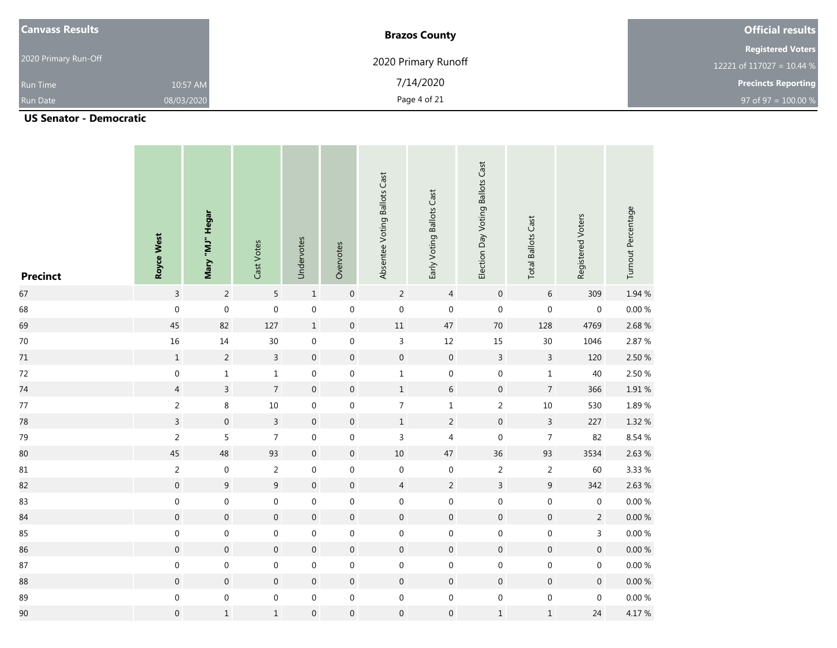| <b>Canvass Results</b> |            | <b>Brazos County</b> | <b>Official results</b>     |
|------------------------|------------|----------------------|-----------------------------|
|                        |            |                      | <b>Registered Voters</b>    |
| 2020 Primary Run-Off   |            | 2020 Primary Runoff  | 12221 of 117027 = 10.44 $%$ |
| <b>Run Time</b>        | 10:57 AM   | 7/14/2020            | <b>Precincts Reporting</b>  |
| <b>Run Date</b>        | 08/03/2020 | Page 4 of 21         | 97 of 97 = $100.00 %$       |

| <b>Precinct</b> | Royce West       | Mary "MJ" Hegar  | Cast Votes       | Undervotes       | Overvotes        | Absentee Voting Ballots Cast | Early Voting Ballots Cast | Election Day Voting Ballots Cast | <b>Total Ballots Cast</b> | Registered Voters | Turnout Percentage |
|-----------------|------------------|------------------|------------------|------------------|------------------|------------------------------|---------------------------|----------------------------------|---------------------------|-------------------|--------------------|
| 67              | $\mathsf{3}$     | $\overline{2}$   | $\sqrt{5}$       | $\mathbf 1$      | $\boldsymbol{0}$ | $\overline{2}$               | $\overline{4}$            | $\boldsymbol{0}$                 | $\,$ 6 $\,$               | 309               | 1.94 %             |
| 68              | $\boldsymbol{0}$ | $\boldsymbol{0}$ | $\mathbf 0$      | $\boldsymbol{0}$ | $\boldsymbol{0}$ | $\boldsymbol{0}$             | $\boldsymbol{0}$          | $\boldsymbol{0}$                 | $\boldsymbol{0}$          | $\boldsymbol{0}$  | $0.00~\%$          |
| 69              | 45               | 82               | 127              | $1\,$            | $\mathbf 0$      | $11\,$                       | 47                        | $70\,$                           | 128                       | 4769              | 2.68%              |
| $70\,$          | $16\,$           | $14\,$           | 30               | $\boldsymbol{0}$ | $\boldsymbol{0}$ | $\mathsf{3}$                 | 12                        | 15                               | $30\,$                    | 1046              | 2.87%              |
| 71              | $\,1$            | $\overline{2}$   | $\mathsf{3}$     | $\boldsymbol{0}$ | $\mathbf 0$      | $\boldsymbol{0}$             | $\mathbf 0$               | $\mathsf{3}$                     | $\mathsf{3}$              | 120               | 2.50 %             |
| $72\,$          | $\boldsymbol{0}$ | $\mathbf 1$      | $\mathbf 1$      | $\boldsymbol{0}$ | $\boldsymbol{0}$ | $\mathbf 1$                  | $\boldsymbol{0}$          | $\boldsymbol{0}$                 | $\mathbf 1$               | 40                | 2.50 %             |
| 74              | $\overline{4}$   | $\mathsf{3}$     | $\overline{7}$   | $\boldsymbol{0}$ | $\mathbf 0$      | $\mathbf 1$                  | $6\,$                     | $\boldsymbol{0}$                 | $\boldsymbol{7}$          | 366               | $1.91\,\%$         |
| $77\,$          | $\overline{2}$   | $\,8\,$          | $10\,$           | $\boldsymbol{0}$ | $\boldsymbol{0}$ | $\overline{7}$               | $\mathbf{1}$              | $\overline{2}$                   | $10\,$                    | 530               | 1.89%              |
| 78              | $\mathsf{3}$     | $\mathbf 0$      | $\mathsf{3}$     | $\boldsymbol{0}$ | $\boldsymbol{0}$ | $\mathbf 1$                  | $\overline{2}$            | $\boldsymbol{0}$                 | $\mathsf{3}$              | 227               | 1.32%              |
| 79              | $\overline{2}$   | 5                | $\overline{7}$   | $\boldsymbol{0}$ | $\boldsymbol{0}$ | 3                            | 4                         | $\boldsymbol{0}$                 | $\overline{7}$            | 82                | 8.54 %             |
| 80              | 45               | 48               | 93               | $\boldsymbol{0}$ | $\boldsymbol{0}$ | $10\,$                       | 47                        | 36                               | 93                        | 3534              | 2.63 %             |
| $81\,$          | $\overline{2}$   | $\boldsymbol{0}$ | $\mathbf 2$      | $\boldsymbol{0}$ | $\boldsymbol{0}$ | $\boldsymbol{0}$             | 0                         | $\sqrt{2}$                       | $\overline{2}$            | 60                | 3.33 %             |
| 82              | $\boldsymbol{0}$ | $\boldsymbol{9}$ | $\boldsymbol{9}$ | $\boldsymbol{0}$ | $\boldsymbol{0}$ | $\overline{4}$               | $\overline{2}$            | $\mathsf{3}$                     | $\boldsymbol{9}$          | 342               | 2.63 %             |
| 83              | $\boldsymbol{0}$ | $\boldsymbol{0}$ | $\boldsymbol{0}$ | $\boldsymbol{0}$ | $\boldsymbol{0}$ | $\boldsymbol{0}$             | 0                         | $\boldsymbol{0}$                 | $\boldsymbol{0}$          | $\boldsymbol{0}$  | $0.00~\%$          |
| 84              | $\boldsymbol{0}$ | $\mathbf 0$      | $\mathbf 0$      | $\boldsymbol{0}$ | $\boldsymbol{0}$ | $\boldsymbol{0}$             | $\boldsymbol{0}$          | $\boldsymbol{0}$                 | $\mathbf 0$               | $\overline{c}$    | $0.00\,\%$         |
| 85              | $\boldsymbol{0}$ | $\boldsymbol{0}$ | $\boldsymbol{0}$ | $\boldsymbol{0}$ | $\boldsymbol{0}$ | $\boldsymbol{0}$             | $\boldsymbol{0}$          | $\boldsymbol{0}$                 | $\boldsymbol{0}$          | $\mathsf{3}$      | 0.00%              |
| 86              | $\boldsymbol{0}$ | $\boldsymbol{0}$ | $\boldsymbol{0}$ | $\boldsymbol{0}$ | $\boldsymbol{0}$ | $\boldsymbol{0}$             | $\boldsymbol{0}$          | $\boldsymbol{0}$                 | $\boldsymbol{0}$          | $\boldsymbol{0}$  | 0.00%              |
| 87              | $\boldsymbol{0}$ | $\boldsymbol{0}$ | $\boldsymbol{0}$ | $\boldsymbol{0}$ | $\boldsymbol{0}$ | $\boldsymbol{0}$             | $\boldsymbol{0}$          | $\boldsymbol{0}$                 | $\boldsymbol{0}$          | $\boldsymbol{0}$  | $0.00\,\%$         |
| 88              | $\boldsymbol{0}$ | $\boldsymbol{0}$ | $\boldsymbol{0}$ | $\boldsymbol{0}$ | $\boldsymbol{0}$ | $\boldsymbol{0}$             | $\boldsymbol{0}$          | $\boldsymbol{0}$                 | $\boldsymbol{0}$          | $\boldsymbol{0}$  | $0.00\,\%$         |
| 89              | $\boldsymbol{0}$ | $\boldsymbol{0}$ | $\boldsymbol{0}$ | $\boldsymbol{0}$ | $\boldsymbol{0}$ | $\boldsymbol{0}$             | $\boldsymbol{0}$          | $\boldsymbol{0}$                 | $\boldsymbol{0}$          | $\boldsymbol{0}$  | $0.00~\%$          |
| 90              | $\boldsymbol{0}$ | $\,1\,$          | $\mathbf 1$      | $\boldsymbol{0}$ | $\boldsymbol{0}$ | $\boldsymbol{0}$             | $\boldsymbol{0}$          | $\mathbf 1$                      | $\,1$                     | 24                | 4.17%              |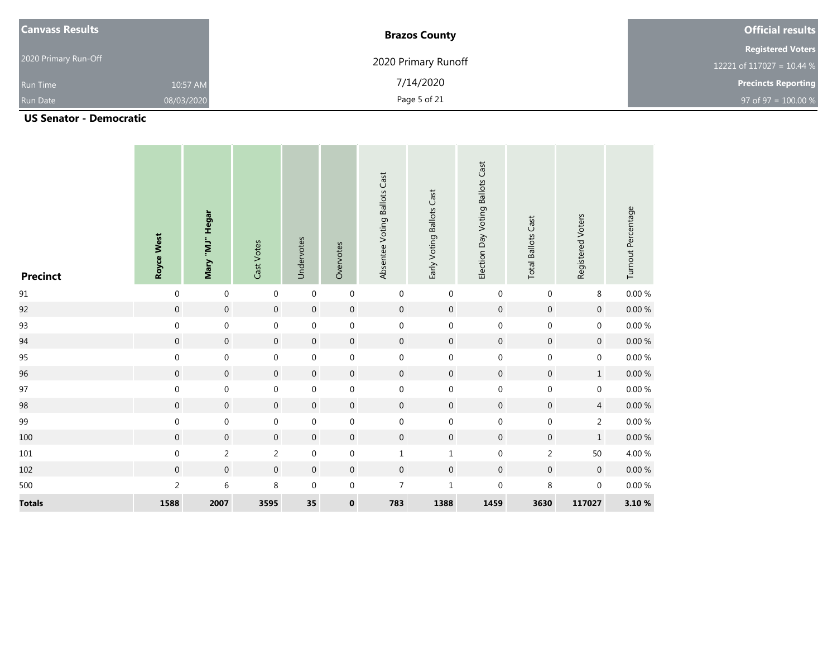| <b>Canvass Results</b> |            | <b>Brazos County</b> | <b>Official results</b>     |
|------------------------|------------|----------------------|-----------------------------|
|                        |            |                      | <b>Registered Voters</b>    |
| 2020 Primary Run-Off   |            | 2020 Primary Runoff  | 12221 of 117027 = 10.44 $%$ |
| <b>Run Time</b>        | 10:57 AM   | 7/14/2020            | <b>Precincts Reporting</b>  |
| <b>Run Date</b>        | 08/03/2020 | Page 5 of 21         | 97 of 97 = $100.00 %$       |

| <b>Precinct</b> | Royce West       | Mary "MJ" Hegar  | Cast Votes       | Undervotes          | Overvotes        | Absentee Voting Ballots Cast | Early Voting Ballots Cast | Election Day Voting Ballots Cast | <b>Total Ballots Cast</b> | Registered Voters   | Turnout Percentage |
|-----------------|------------------|------------------|------------------|---------------------|------------------|------------------------------|---------------------------|----------------------------------|---------------------------|---------------------|--------------------|
| $91\,$          | $\boldsymbol{0}$ | $\boldsymbol{0}$ | 0                | $\boldsymbol{0}$    | $\mathbf 0$      | $\mathbf 0$                  | $\mathbf 0$               | $\mathbf 0$                      | $\mathbf 0$               | 8                   | $0.00\,\%$         |
| 92              | $\boldsymbol{0}$ | $\boldsymbol{0}$ | $\boldsymbol{0}$ | $\boldsymbol{0}$    | $\boldsymbol{0}$ | $\boldsymbol{0}$             | $\mathbf 0$               | $\boldsymbol{0}$                 | $\boldsymbol{0}$          | $\boldsymbol{0}$    | $0.00\ \%$         |
| 93              | $\boldsymbol{0}$ | $\boldsymbol{0}$ | $\boldsymbol{0}$ | $\mathbf 0$         | $\boldsymbol{0}$ | 0                            | $\mathbf 0$               | $\boldsymbol{0}$                 | $\boldsymbol{0}$          | $\boldsymbol{0}$    | $0.00\ \%$         |
| 94              | $\boldsymbol{0}$ | $\boldsymbol{0}$ | $\boldsymbol{0}$ | $\boldsymbol{0}$    | $\mathbf 0$      | $\boldsymbol{0}$             | $\mathsf{O}\xspace$       | $\mathbf 0$                      | $\boldsymbol{0}$          | $\boldsymbol{0}$    | $0.00\ \%$         |
| 95              | $\boldsymbol{0}$ | $\boldsymbol{0}$ | $\boldsymbol{0}$ | $\mathbf 0$         | $\boldsymbol{0}$ | 0                            | $\boldsymbol{0}$          | $\boldsymbol{0}$                 | $\boldsymbol{0}$          | $\boldsymbol{0}$    | $0.00\ \%$         |
| 96              | $\boldsymbol{0}$ | $\boldsymbol{0}$ | $\boldsymbol{0}$ | $\mathsf{O}\xspace$ | $\mathbf 0$      | $\boldsymbol{0}$             | $\pmb{0}$                 | $\boldsymbol{0}$                 | $\boldsymbol{0}$          | $\mathbf 1$         | $0.00\,\%$         |
| 97              | $\boldsymbol{0}$ | $\boldsymbol{0}$ | $\boldsymbol{0}$ | $\mathbf 0$         | $\boldsymbol{0}$ | $\mathbf 0$                  | $\mathbf 0$               | $\boldsymbol{0}$                 | $\boldsymbol{0}$          | $\boldsymbol{0}$    | $0.00\ \%$         |
| 98              | $\boldsymbol{0}$ | $\boldsymbol{0}$ | $\boldsymbol{0}$ | $\overline{0}$      | $\mathbf 0$      | $\mathbf 0$                  | $\mathsf{O}\xspace$       | $\mathbf 0$                      | $\boldsymbol{0}$          | $\overline{4}$      | $0.00\ \%$         |
| 99              | $\boldsymbol{0}$ | $\boldsymbol{0}$ | $\boldsymbol{0}$ | $\boldsymbol{0}$    | $\boldsymbol{0}$ | 0                            | $\mathbf 0$               | $\boldsymbol{0}$                 | $\boldsymbol{0}$          | $\overline{2}$      | $0.00\ \%$         |
| 100             | $\boldsymbol{0}$ | $\boldsymbol{0}$ | $\boldsymbol{0}$ | $\boldsymbol{0}$    | $\boldsymbol{0}$ | $\boldsymbol{0}$             | $\boldsymbol{0}$          | $\boldsymbol{0}$                 | $\boldsymbol{0}$          | $\,1$               | $0.00\ \%$         |
| $101\,$         | $\boldsymbol{0}$ | $\overline{2}$   | $\overline{c}$   | $\boldsymbol{0}$    | $\mathbf 0$      | $\mathbf 1$                  | $\mathbf{1}$              | $\boldsymbol{0}$                 | $\overline{2}$            | $50\,$              | 4.00%              |
| 102             | $\boldsymbol{0}$ | $\boldsymbol{0}$ | $\boldsymbol{0}$ | $\mathbf 0$         | $\mathbf 0$      | $\boldsymbol{0}$             | $\mathsf{O}\xspace$       | $\boldsymbol{0}$                 | $\boldsymbol{0}$          | $\mathsf{O}\xspace$ | $0.00\ \%$         |
| 500             | $\overline{a}$   | $\,$ 6 $\,$      | $\,8\,$          | $\mathbf 0$         | $\boldsymbol{0}$ | $\overline{7}$               | $\mathbf 1$               | $\boldsymbol{0}$                 | $\,8\,$                   | $\boldsymbol{0}$    | $0.00\ \%$         |
| <b>Totals</b>   | 1588             | 2007             | 3595             | 35                  | $\mathbf 0$      | 783                          | 1388                      | 1459                             | 3630                      | 117027              | 3.10 %             |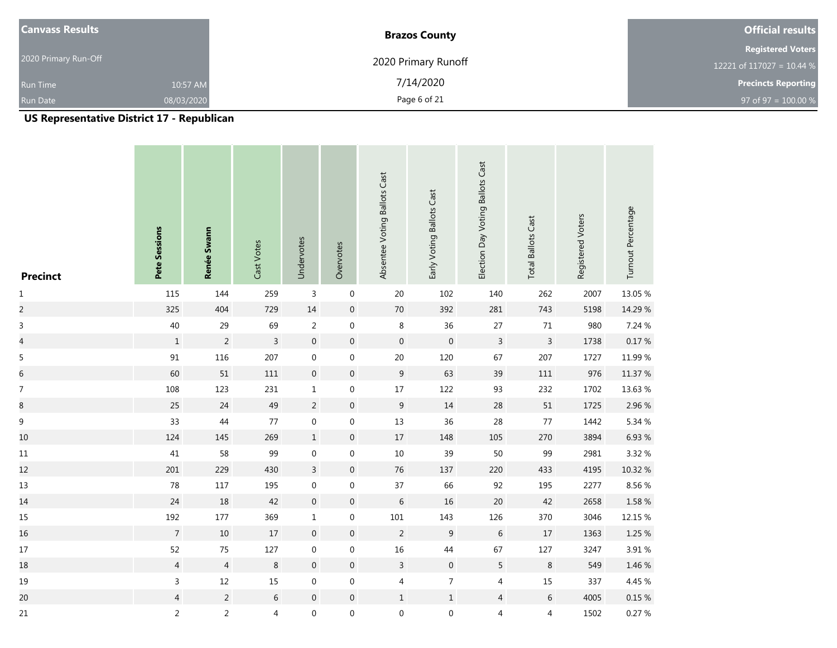| <b>Canvass Results</b> |            | <b>Brazos County</b> | <b>Official results</b>    |
|------------------------|------------|----------------------|----------------------------|
|                        |            |                      | <b>Registered Voters</b>   |
| 2020 Primary Run-Off   |            | 2020 Primary Runoff  | 12221 of 117027 = 10.44 %  |
| <b>Run Time</b>        | 10:57 AM   | 7/14/2020            | <b>Precincts Reporting</b> |
| <b>Run Date</b>        | 08/03/2020 | Page 6 of 21         | 97 of 97 = $100.00 %$      |

| <b>Precinct</b>         | Pete Sessions     | Renée Swann    | Cast Votes     | Undervotes       | Overvotes        | Absentee Voting Ballots Cast | Early Voting Ballots Cast | Election Day Voting Ballots Cast | <b>Total Ballots Cast</b> | Registered Voters | Turnout Percentage |
|-------------------------|-------------------|----------------|----------------|------------------|------------------|------------------------------|---------------------------|----------------------------------|---------------------------|-------------------|--------------------|
| $\mathbf{1}$            | 115               | 144            | 259            | $\overline{3}$   | $\boldsymbol{0}$ | 20                           | 102                       | 140                              | 262                       | 2007              | 13.05 %            |
| $\overline{c}$          | 325               | 404            | 729            | 14               | $\boldsymbol{0}$ | $70\,$                       | 392                       | 281                              | 743                       | 5198              | 14.29 %            |
| $\mathsf{3}$            | 40                | 29             | 69             | $\overline{2}$   | $\boldsymbol{0}$ | $\,8\,$                      | 36                        | $27\,$                           | $71\,$                    | 980               | 7.24 %             |
| $\overline{\mathbf{r}}$ | $\,1\,$           | $\overline{2}$ | $\mathbf{3}$   | $\boldsymbol{0}$ | $\boldsymbol{0}$ | $\boldsymbol{0}$             | $\boldsymbol{0}$          | $\mathsf{3}$                     | $\mathsf{3}$              | 1738              | $0.17~\%$          |
| 5                       | $\ensuremath{91}$ | 116            | 207            | $\boldsymbol{0}$ | $\boldsymbol{0}$ | $20\,$                       | 120                       | 67                               | 207                       | 1727              | 11.99 %            |
| $\overline{6}$          | 60                | $51\,$         | 111            | $\boldsymbol{0}$ | $\boldsymbol{0}$ | $\boldsymbol{9}$             | 63                        | 39                               | $111\,$                   | 976               | 11.37 %            |
| $\boldsymbol{7}$        | 108               | 123            | 231            | $\mathbf 1$      | $\boldsymbol{0}$ | $17\,$                       | 122                       | 93                               | 232                       | 1702              | 13.63 %            |
| 8                       | 25                | 24             | 49             | $\overline{2}$   | $\boldsymbol{0}$ | $\boldsymbol{9}$             | $14\,$                    | 28                               | $51\,$                    | 1725              | 2.96 %             |
| $\boldsymbol{9}$        | 33                | 44             | $77\,$         | $\boldsymbol{0}$ | $\boldsymbol{0}$ | 13                           | 36                        | 28                               | $77$                      | 1442              | 5.34 %             |
| 10                      | 124               | 145            | 269            | $\,1\,$          | $\boldsymbol{0}$ | $17\,$                       | 148                       | 105                              | 270                       | 3894              | 6.93%              |
| $11\,$                  | 41                | 58             | 99             | $\boldsymbol{0}$ | $\boldsymbol{0}$ | $10\,$                       | 39                        | 50                               | 99                        | 2981              | 3.32%              |
| 12                      | 201               | 229            | 430            | $\mathbf{3}$     | $\boldsymbol{0}$ | $76\,$                       | 137                       | 220                              | 433                       | 4195              | 10.32 %            |
| $13\,$                  | 78                | 117            | 195            | $\boldsymbol{0}$ | $\boldsymbol{0}$ | $37\,$                       | 66                        | 92                               | 195                       | 2277              | 8.56 %             |
| 14                      | 24                | 18             | 42             | $\boldsymbol{0}$ | $\boldsymbol{0}$ | $\,$ 6 $\,$                  | $16\,$                    | $20\,$                           | 42                        | 2658              | 1.58 %             |
| 15                      | 192               | 177            | 369            | $\mathbf 1$      | $\boldsymbol{0}$ | $101\,$                      | 143                       | 126                              | 370                       | 3046              | 12.15 %            |
| 16                      | $\overline{7}$    | 10             | $17\,$         | $\boldsymbol{0}$ | $\boldsymbol{0}$ | $\overline{2}$               | $\boldsymbol{9}$          | $\,$ 6 $\,$                      | $17\,$                    | 1363              | 1.25 %             |
| $17\,$                  | 52                | 75             | $127\,$        | $\boldsymbol{0}$ | $\boldsymbol{0}$ | $16\,$                       | 44                        | 67                               | $127\,$                   | 3247              | 3.91%              |
| 18                      | $\overline{4}$    | $\overline{4}$ | $\,8\,$        | $\mathbf 0$      | $\boldsymbol{0}$ | $\mathbf{3}$                 | $\boldsymbol{0}$          | $\sqrt{5}$                       | $\,8\,$                   | 549               | 1.46 %             |
| 19                      | 3                 | 12             | $15\,$         | $\boldsymbol{0}$ | $\boldsymbol{0}$ | $\overline{4}$               | $\overline{7}$            | $\sqrt{4}$                       | $15\,$                    | 337               | 4.45 %             |
| 20                      | $\overline{4}$    | $\overline{2}$ | $\sqrt{6}$     | $\mathbf 0$      | $\boldsymbol{0}$ | $\mathbf 1$                  | $\mathbf 1$               | $\overline{4}$                   | $\,6\,$                   | 4005              | $0.15~\%$          |
| $21\,$                  | $\overline{a}$    | $\overline{2}$ | $\overline{4}$ | $\pmb{0}$        | $\boldsymbol{0}$ | $\boldsymbol{0}$             | $\boldsymbol{0}$          | $\overline{\mathcal{A}}$         | $\overline{4}$            | 1502              | 0.27 %             |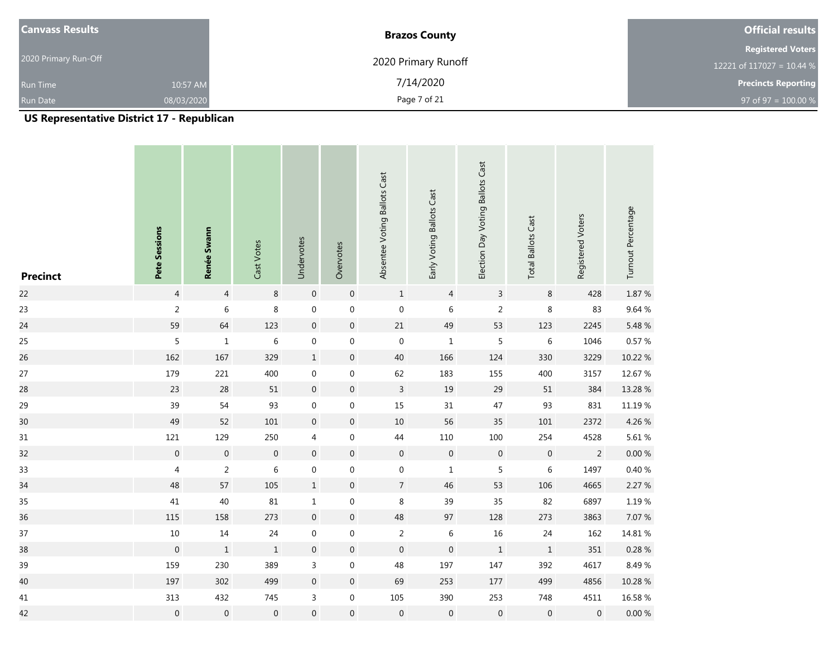| <b>Canvass Results</b> |            | <b>Brazos County</b> | <b>Official results</b>    |
|------------------------|------------|----------------------|----------------------------|
|                        |            |                      | <b>Registered Voters</b>   |
| 2020 Primary Run-Off   |            | 2020 Primary Runoff  | 12221 of 117027 = 10.44 %  |
| <b>Run Time</b>        | 10:57 AM   | 7/14/2020            | <b>Precincts Reporting</b> |
| <b>Run Date</b>        | 08/03/2020 | Page 7 of 21         | 97 of 97 = $100.00 %$      |

| <b>Precinct</b> | Pete Sessions    | Renée Swann      | Cast Votes       | Undervotes       | Overvotes        | Absentee Voting Ballots Cast | Early Voting Ballots Cast | Election Day Voting Ballots Cast | <b>Total Ballots Cast</b> | Registered Voters | Turnout Percentage |
|-----------------|------------------|------------------|------------------|------------------|------------------|------------------------------|---------------------------|----------------------------------|---------------------------|-------------------|--------------------|
| 22              | $\overline{4}$   | $\sqrt{4}$       | $\,8\,$          | $\boldsymbol{0}$ | $\boldsymbol{0}$ | $\,1$                        | $\overline{4}$            | $\mathsf 3$                      | $\,8\,$                   | 428               | 1.87 %             |
| 23              | $\sqrt{2}$       | $\,$ 6 $\,$      | 8                | $\boldsymbol{0}$ | $\boldsymbol{0}$ | $\boldsymbol{0}$             | $\,$ 6 $\,$               | $\sqrt{2}$                       | 8                         | 83                | 9.64 %             |
| 24              | 59               | 64               | 123              | $\,0\,$          | $\boldsymbol{0}$ | $21\,$                       | 49                        | 53                               | 123                       | 2245              | 5.48 %             |
| 25              | $\overline{5}$   | $\mathbf 1$      | $\,$ 6 $\,$      | $\boldsymbol{0}$ | $\boldsymbol{0}$ | $\boldsymbol{0}$             | $\,1\,$                   | 5                                | $\,$ 6 $\,$               | 1046              | $0.57~\%$          |
| 26              | 162              | 167              | 329              | $1\,$            | $\boldsymbol{0}$ | $40\,$                       | 166                       | 124                              | 330                       | 3229              | 10.22 %            |
| 27              | 179              | 221              | 400              | $\boldsymbol{0}$ | $\pmb{0}$        | 62                           | 183                       | 155                              | 400                       | 3157              | 12.67 %            |
| 28              | $23\,$           | $28\,$           | $51\,$           | $\boldsymbol{0}$ | $\boldsymbol{0}$ | $\mathsf{3}$                 | 19                        | 29                               | $51\,$                    | 384               | 13.28 %            |
| 29              | 39               | 54               | 93               | $\boldsymbol{0}$ | $\mathbf 0$      | $15\,$                       | $31\,$                    | 47                               | 93                        | 831               | $11.19~\%$         |
| 30              | 49               | 52               | $101\,$          | $\boldsymbol{0}$ | $\boldsymbol{0}$ | $10\,$                       | 56                        | $35\,$                           | 101                       | 2372              | 4.26 %             |
| 31              | $121\,$          | 129              | 250              | 4                | $\boldsymbol{0}$ | $44\,$                       | $110\,$                   | 100                              | 254                       | 4528              | $5.61\,\%$         |
| 32              | $\boldsymbol{0}$ | $\mathbf 0$      | $\boldsymbol{0}$ | $\boldsymbol{0}$ | $\boldsymbol{0}$ | $\boldsymbol{0}$             | $\mathbf 0$               | $\boldsymbol{0}$                 | $\,0\,$                   | $\overline{2}$    | $0.00\ \%$         |
| 33              | $\overline{4}$   | $\overline{2}$   | 6                | $\boldsymbol{0}$ | $\boldsymbol{0}$ | $\boldsymbol{0}$             | $\,1\,$                   | 5                                | $\,$ 6 $\,$               | 1497              | $0.40\ \%$         |
| 34              | 48               | 57               | 105              | $\,1\,$          | $\boldsymbol{0}$ | $\overline{7}$               | 46                        | 53                               | 106                       | 4665              | 2.27 %             |
| 35              | 41               | 40               | $81\,$           | $\mathbf 1$      | $\boldsymbol{0}$ | $\,8\,$                      | 39                        | 35                               | 82                        | 6897              | $1.19~\%$          |
| 36              | $115\,$          | 158              | 273              | $\,0\,$          | $\boldsymbol{0}$ | 48                           | 97                        | 128                              | 273                       | 3863              | 7.07 %             |
| $37\,$          | $10\,$           | $14\,$           | 24               | $\boldsymbol{0}$ | $\boldsymbol{0}$ | $\overline{c}$               | $\,6\,$                   | $16\,$                           | $24\,$                    | 162               | 14.81 %            |
| 38              | $\boldsymbol{0}$ | $\,1\,$          | $\,1\,$          | $\,0\,$          | $\boldsymbol{0}$ | $\boldsymbol{0}$             | $\mathbf 0$               | $\,$ 1                           | $\,1\,$                   | 351               | $0.28~\%$          |
| 39              | 159              | 230              | 389              | $\mathsf{3}$     | $\boldsymbol{0}$ | 48                           | 197                       | 147                              | 392                       | 4617              | 8.49%              |
| 40              | 197              | 302              | 499              | $\boldsymbol{0}$ | $\boldsymbol{0}$ | 69                           | 253                       | $177\,$                          | 499                       | 4856              | 10.28 %            |
| 41              | 313              | 432              | 745              | $\mathsf 3$      | $\boldsymbol{0}$ | 105                          | 390                       | 253                              | 748                       | 4511              | 16.58 %            |
| 42              | $\pmb{0}$        | $\boldsymbol{0}$ | $\boldsymbol{0}$ | $\boldsymbol{0}$ | $\boldsymbol{0}$ | $\boldsymbol{0}$             | $\mathbf 0$               | $\boldsymbol{0}$                 | $\pmb{0}$                 | 0                 | $0.00\,\%$         |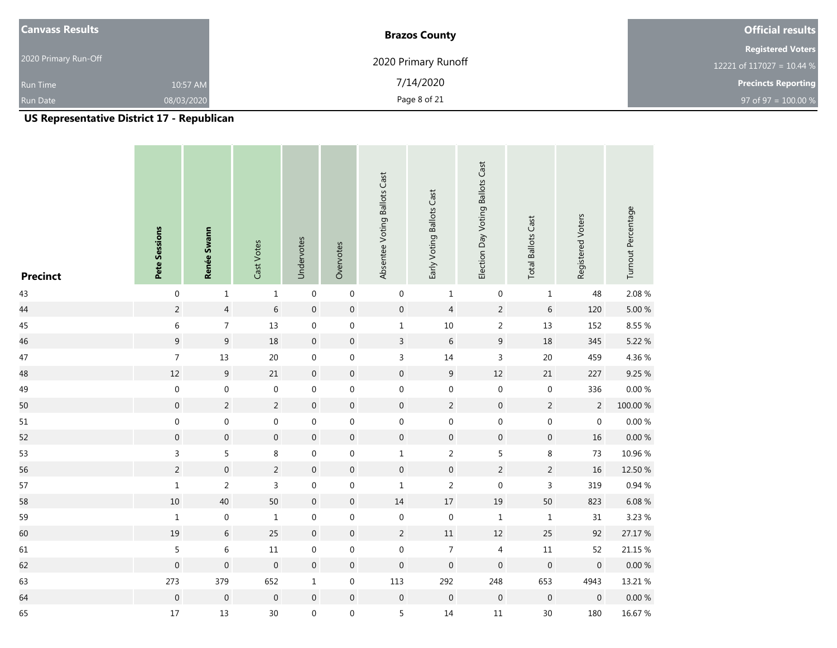| <b>Canvass Results</b> |            | <b>Brazos County</b> | <b>Official results</b>    |
|------------------------|------------|----------------------|----------------------------|
|                        |            |                      | <b>Registered Voters</b>   |
| 2020 Primary Run-Off   |            | 2020 Primary Runoff  | 12221 of 117027 = 10.44 %  |
| <b>Run Time</b>        | 10:57 AM   | 7/14/2020            | <b>Precincts Reporting</b> |
| <b>Run Date</b>        | 08/03/2020 | Page 8 of 21         | 97 of 97 = $100.00 %$      |

| <b>Precinct</b> | Pete Sessions    | Renée Swann      | Cast Votes       | Undervotes       | Overvotes        | Absentee Voting Ballots Cast | Early Voting Ballots Cast | Election Day Voting Ballots Cast | <b>Total Ballots Cast</b> | Registered Voters | Turnout Percentage |
|-----------------|------------------|------------------|------------------|------------------|------------------|------------------------------|---------------------------|----------------------------------|---------------------------|-------------------|--------------------|
| 43              | $\mathbf 0$      | $\,1\,$          | $\,1\,$          | $\boldsymbol{0}$ | $\boldsymbol{0}$ | $\boldsymbol{0}$             | $\mathbf 1$               | $\boldsymbol{0}$                 | $\mathbf{1}$              | 48                | 2.08%              |
| 44              | $\overline{2}$   | $\sqrt{4}$       | $\,$ 6 $\,$      | $\boldsymbol{0}$ | $\boldsymbol{0}$ | $\boldsymbol{0}$             | $\overline{4}$            | $\sqrt{2}$                       | $\,$ 6 $\,$               | 120               | $5.00~\%$          |
| 45              | $\,$ 6 $\,$      | $\overline{7}$   | 13               | $\boldsymbol{0}$ | $\boldsymbol{0}$ | $\mathbf 1$                  | $10\,$                    | $\overline{2}$                   | $13\,$                    | 152               | 8.55%              |
| 46              | $\mathsf 9$      | $\mathsf 9$      | 18               | $\boldsymbol{0}$ | $\boldsymbol{0}$ | $\mathsf{3}$                 | $\,$ 6 $\,$               | $\boldsymbol{9}$                 | $18\,$                    | 345               | 5.22 %             |
| 47              | $\overline{7}$   | 13               | 20               | $\boldsymbol{0}$ | $\boldsymbol{0}$ | $\mathsf{3}$                 | 14                        | $\mathsf{3}$                     | $20\,$                    | 459               | 4.36%              |
| 48              | 12               | $\boldsymbol{9}$ | $21\,$           | $\boldsymbol{0}$ | $\boldsymbol{0}$ | $\boldsymbol{0}$             | $\boldsymbol{9}$          | $12\,$                           | $21\,$                    | 227               | 9.25 %             |
| 49              | $\boldsymbol{0}$ | $\boldsymbol{0}$ | $\boldsymbol{0}$ | $\boldsymbol{0}$ | $\boldsymbol{0}$ | $\boldsymbol{0}$             | $\boldsymbol{0}$          | $\boldsymbol{0}$                 | $\boldsymbol{0}$          | 336               | 0.00%              |
| 50              | $\boldsymbol{0}$ | $\overline{2}$   | $\overline{a}$   | $\boldsymbol{0}$ | $\boldsymbol{0}$ | $\boldsymbol{0}$             | $\overline{2}$            | $\boldsymbol{0}$                 | $\sqrt{2}$                | $\overline{2}$    | $100.00~\%$        |
| 51              | $\boldsymbol{0}$ | $\boldsymbol{0}$ | $\boldsymbol{0}$ | $\boldsymbol{0}$ | $\boldsymbol{0}$ | $\boldsymbol{0}$             | $\boldsymbol{0}$          | $\boldsymbol{0}$                 | $\boldsymbol{0}$          | $\boldsymbol{0}$  | $0.00\,\%$         |
| 52              | $\boldsymbol{0}$ | $\,0\,$          | $\boldsymbol{0}$ | $\boldsymbol{0}$ | $\boldsymbol{0}$ | $\boldsymbol{0}$             | $\boldsymbol{0}$          | $\boldsymbol{0}$                 | $\boldsymbol{0}$          | $16\,$            | 0.00%              |
| 53              | $\overline{3}$   | 5                | 8                | $\boldsymbol{0}$ | $\boldsymbol{0}$ | $\mathbf 1$                  | $\overline{2}$            | 5                                | $\,8\,$                   | 73                | 10.96 %            |
| 56              | $\overline{2}$   | $\,0\,$          | $\overline{a}$   | $\boldsymbol{0}$ | $\boldsymbol{0}$ | $\boldsymbol{0}$             | $\boldsymbol{0}$          | $\sqrt{2}$                       | $\overline{2}$            | 16                | 12.50 %            |
| 57              | $\,1\,$          | $\sqrt{2}$       | 3                | $\boldsymbol{0}$ | $\boldsymbol{0}$ | $\mathbf 1$                  | $\overline{2}$            | $\boldsymbol{0}$                 | $\overline{3}$            | 319               | 0.94 %             |
| 58              | $10\,$           | 40               | 50               | $\boldsymbol{0}$ | $\boldsymbol{0}$ | $14\,$                       | $17\,$                    | $19\,$                           | $50\,$                    | 823               | 6.08%              |
| 59              | $\,1\,$          | $\boldsymbol{0}$ | $\,1\,$          | $\boldsymbol{0}$ | $\boldsymbol{0}$ | $\boldsymbol{0}$             | $\boldsymbol{0}$          | $\mathbf 1$                      | $\,1\,$                   | $31\,$            | 3.23 %             |
| 60              | 19               | $\,$ 6 $\,$      | 25               | $\mathbf 0$      | $\boldsymbol{0}$ | $\overline{2}$               | $11\,$                    | $12\,$                           | 25                        | 92                | 27.17 %            |
| 61              | $\sqrt{5}$       | $\,$ 6 $\,$      | $11\,$           | $\boldsymbol{0}$ | $\boldsymbol{0}$ | 0                            | $\overline{7}$            | $\overline{4}$                   | $11\,$                    | 52                | 21.15 %            |
| 62              | $\mathbf{0}$     | $\boldsymbol{0}$ | $\boldsymbol{0}$ | $\boldsymbol{0}$ | $\boldsymbol{0}$ | $\boldsymbol{0}$             | $\boldsymbol{0}$          | $\boldsymbol{0}$                 | $\boldsymbol{0}$          | $\boldsymbol{0}$  | 0.00%              |
| 63              | 273              | 379              | 652              | $\mathbf{1}$     | $\boldsymbol{0}$ | 113                          | 292                       | 248                              | 653                       | 4943              | 13.21 %            |
| 64              | $\boldsymbol{0}$ | $\boldsymbol{0}$ | $\boldsymbol{0}$ | $\boldsymbol{0}$ | $\boldsymbol{0}$ | $\boldsymbol{0}$             | $\boldsymbol{0}$          | $\boldsymbol{0}$                 | $\boldsymbol{0}$          | $\boldsymbol{0}$  | 0.00%              |
| 65              | 17               | 13               | 30               | $\mathbf 0$      | $\boldsymbol{0}$ | 5                            | 14                        | $11\,$                           | 30 <sup>°</sup>           | 180               | 16.67 %            |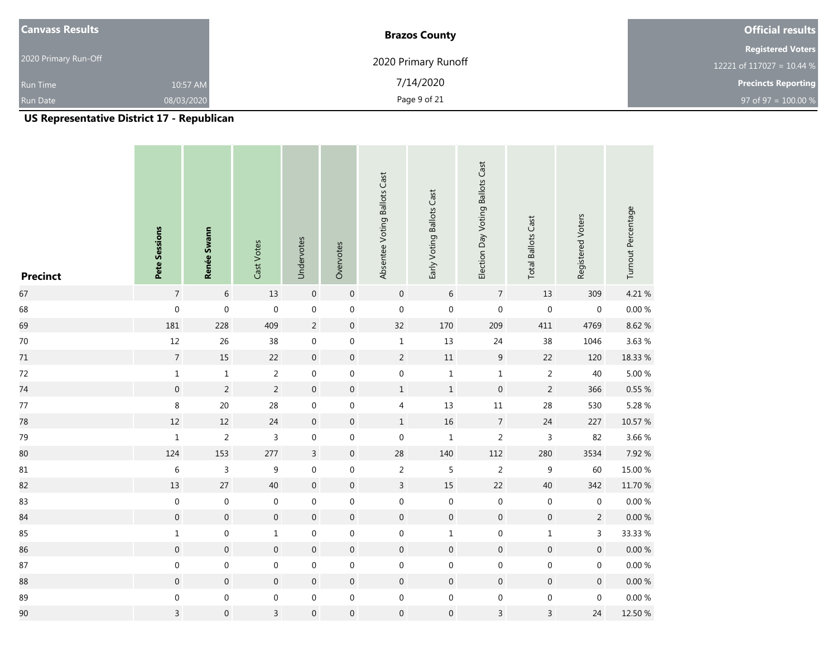| <b>Canvass Results</b> |            | <b>Brazos County</b> | <b>Official results</b>    |
|------------------------|------------|----------------------|----------------------------|
|                        |            |                      | <b>Registered Voters</b>   |
| 2020 Primary Run-Off   |            | 2020 Primary Runoff  | 12221 of 117027 = 10.44 %  |
| <b>Run Time</b>        | 10:57 AM   | 7/14/2020            | <b>Precincts Reporting</b> |
| <b>Run Date</b>        | 08/03/2020 | Page 9 of 21         | 97 of 97 = $100.00 %$      |

| <b>Precinct</b> | Pete Sessions    | Renée Swann      | Cast Votes       | Undervotes       | Overvotes        | Absentee Voting Ballots Cast | Early Voting Ballots Cast | Election Day Voting Ballots Cast | <b>Total Ballots Cast</b> | Registered Voters   | Turnout Percentage |
|-----------------|------------------|------------------|------------------|------------------|------------------|------------------------------|---------------------------|----------------------------------|---------------------------|---------------------|--------------------|
| 67              | $\sqrt{7}$       | $\,$ 6 $\,$      | $13\,$           | $\mathbf 0$      | $\boldsymbol{0}$ | $\mathbf 0$                  | $\sqrt{6}$                | $\sqrt{ }$                       | $13\,$                    | 309                 | 4.21%              |
| 68              | $\boldsymbol{0}$ | $\boldsymbol{0}$ | $\boldsymbol{0}$ | $\,0\,$          | $\boldsymbol{0}$ | $\mathbf 0$                  | $\boldsymbol{0}$          | $\boldsymbol{0}$                 | $\boldsymbol{0}$          | $\boldsymbol{0}$    | $0.00\ \%$         |
| 69              | 181              | 228              | 409              | $\overline{2}$   | $\boldsymbol{0}$ | 32                           | 170                       | 209                              | $411\,$                   | 4769                | 8.62%              |
| $70\,$          | $12\,$           | 26               | 38               | $\boldsymbol{0}$ | $\boldsymbol{0}$ | $\mathbf 1$                  | 13                        | 24                               | 38                        | 1046                | 3.63%              |
| 71              | $\overline{7}$   | $15\,$           | 22               | $\boldsymbol{0}$ | $\boldsymbol{0}$ | $\overline{2}$               | $11\,$                    | $\boldsymbol{9}$                 | 22                        | 120                 | 18.33 %            |
| $72\,$          | $\,1$            | $\mathbf{1}$     | $\overline{2}$   | $\boldsymbol{0}$ | $\mathbf 0$      | $\boldsymbol{0}$             | $\,1\,$                   | $\mathbf 1$                      | $\overline{2}$            | 40                  | 5.00 %             |
| 74              | $\mathbf 0$      | $\overline{2}$   | $\overline{c}$   | $\,0\,$          | $\boldsymbol{0}$ | $\mathbf 1$                  | $\,1\,$                   | $\,0\,$                          | $\overline{2}$            | 366                 | $0.55~\%$          |
| $77\,$          | $\bf 8$          | 20               | 28               | $\boldsymbol{0}$ | $\boldsymbol{0}$ | 4                            | 13                        | $11\,$                           | 28                        | 530                 | 5.28%              |
| 78              | $12\,$           | $12\,$           | 24               | $\boldsymbol{0}$ | $\boldsymbol{0}$ | $\,1$                        | 16                        | $\sqrt{7}$                       | 24                        | 227                 | $10.57~\%$         |
| 79              | $\,1\,$          | $\overline{2}$   | $\mathsf{3}$     | $\boldsymbol{0}$ | $\boldsymbol{0}$ | $\boldsymbol{0}$             | $\,1\,$                   | $\sqrt{2}$                       | $\mathsf{3}$              | 82                  | 3.66%              |
| 80              | 124              | 153              | 277              | $\mathbf{3}$     | $\boldsymbol{0}$ | 28                           | 140                       | 112                              | 280                       | 3534                | 7.92%              |
| $81\,$          | $\,$ 6 $\,$      | $\overline{3}$   | $\boldsymbol{9}$ | $\boldsymbol{0}$ | $\boldsymbol{0}$ | $\overline{2}$               | $\overline{5}$            | $\overline{2}$                   | $\boldsymbol{9}$          | 60                  | 15.00 %            |
| 82              | 13               | $27\,$           | 40               | $\boldsymbol{0}$ | $\boldsymbol{0}$ | $\overline{3}$               | 15                        | 22                               | 40                        | 342                 | 11.70 %            |
| 83              | $\mathbf 0$      | $\mathbf 0$      | $\boldsymbol{0}$ | $\boldsymbol{0}$ | $\boldsymbol{0}$ | $\boldsymbol{0}$             | $\boldsymbol{0}$          | $\boldsymbol{0}$                 | $\boldsymbol{0}$          | $\boldsymbol{0}$    | $0.00\ \%$         |
| 84              | $\mathbf 0$      | $\mathbf 0$      | $\boldsymbol{0}$ | $\boldsymbol{0}$ | $\boldsymbol{0}$ | $\boldsymbol{0}$             | $\mathbf 0$               | $\mathbf 0$                      | $\mathbf 0$               | $\overline{c}$      | $0.00\ \%$         |
| 85              | $\,1\,$          | $\boldsymbol{0}$ | $\mathbf 1$      | $\boldsymbol{0}$ | $\boldsymbol{0}$ | $\boldsymbol{0}$             | $1\,$                     | $\boldsymbol{0}$                 | $\,1$                     | $\mathsf{3}$        | 33.33 %            |
| 86              | $\boldsymbol{0}$ | $\,0\,$          | $\boldsymbol{0}$ | $\boldsymbol{0}$ | $\boldsymbol{0}$ | $\pmb{0}$                    | $\boldsymbol{0}$          | $\boldsymbol{0}$                 | $\boldsymbol{0}$          | $\mathsf{O}\xspace$ | $0.00\ \%$         |
| 87              | $\boldsymbol{0}$ | $\boldsymbol{0}$ | $\boldsymbol{0}$ | $\boldsymbol{0}$ | $\boldsymbol{0}$ | $\boldsymbol{0}$             | $\boldsymbol{0}$          | $\boldsymbol{0}$                 | $\boldsymbol{0}$          | $\boldsymbol{0}$    | $0.00\,\%$         |
| 88              | $\mathbf 0$      | $\,0\,$          | $\boldsymbol{0}$ | $\mathbf 0$      | $\boldsymbol{0}$ | $\boldsymbol{0}$             | $\boldsymbol{0}$          | $\mathbf 0$                      | $\mathbf 0$               | $\boldsymbol{0}$    | $0.00\ \%$         |
| 89              | $\boldsymbol{0}$ | $\boldsymbol{0}$ | $\boldsymbol{0}$ | $\mathbf 0$      | $\mathbf 0$      | $\boldsymbol{0}$             | $\boldsymbol{0}$          | $\boldsymbol{0}$                 | $\boldsymbol{0}$          | $\boldsymbol{0}$    | $0.00\,\%$         |
| 90              | $\overline{3}$   | $\boldsymbol{0}$ | $\overline{3}$   | $\boldsymbol{0}$ | $\boldsymbol{0}$ | $\boldsymbol{0}$             | $\mathbf 0$               | $\overline{3}$                   | $\overline{3}$            | 24                  | 12.50 %            |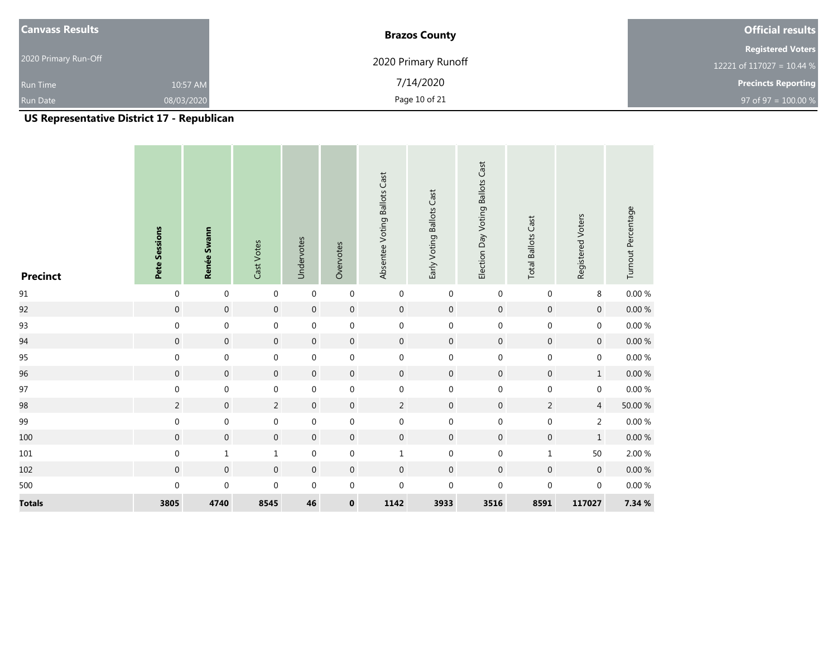| <b>Canvass Results</b> |            | <b>Brazos County</b> | <b>Official results</b>    |
|------------------------|------------|----------------------|----------------------------|
|                        |            |                      | <b>Registered Voters</b>   |
| 2020 Primary Run-Off   |            | 2020 Primary Runoff  | 12221 of 117027 = 10.44 %  |
| <b>Run Time</b>        | 10:57 AM   | 7/14/2020            | <b>Precincts Reporting</b> |
| <b>Run Date</b>        | 08/03/2020 | Page 10 of 21        | 97 of 97 = $100.00 %$      |

| <b>Precinct</b> | Pete Sessions    | Renée Swann         | Cast Votes       | Undervotes       | Overvotes        | Absentee Voting Ballots Cast | Early Voting Ballots Cast | Election Day Voting Ballots Cast | <b>Total Ballots Cast</b> | Registered Voters | Turnout Percentage |
|-----------------|------------------|---------------------|------------------|------------------|------------------|------------------------------|---------------------------|----------------------------------|---------------------------|-------------------|--------------------|
| $91\,$          | $\boldsymbol{0}$ | $\boldsymbol{0}$    | $\mathbf 0$      | $\boldsymbol{0}$ | $\boldsymbol{0}$ | $\mathbf 0$                  | $\boldsymbol{0}$          | $\boldsymbol{0}$                 | $\mathbf 0$               | 8                 | $0.00\ \%$         |
| 92              | $\mathbf 0$      | $\boldsymbol{0}$    | $\boldsymbol{0}$ | $\boldsymbol{0}$ | $\boldsymbol{0}$ | $\boldsymbol{0}$             | $\boldsymbol{0}$          | $\boldsymbol{0}$                 | $\boldsymbol{0}$          | $\pmb{0}$         | $0.00\ \%$         |
| 93              | $\boldsymbol{0}$ | $\boldsymbol{0}$    | $\boldsymbol{0}$ | $\boldsymbol{0}$ | $\boldsymbol{0}$ | $\boldsymbol{0}$             | $\boldsymbol{0}$          | $\boldsymbol{0}$                 | $\boldsymbol{0}$          | 0                 | $0.00\ \%$         |
| 94              | $\boldsymbol{0}$ | $\mathsf{O}\xspace$ | $\boldsymbol{0}$ | $\boldsymbol{0}$ | $\boldsymbol{0}$ | $\mathsf{O}\xspace$          | $\mathbf 0$               | $\mathsf{O}\xspace$              | $\mathsf{O}\xspace$       | $\mathbf{0}$      | $0.00\ \%$         |
| 95              | $\boldsymbol{0}$ | $\boldsymbol{0}$    | $\boldsymbol{0}$ | $\boldsymbol{0}$ | $\boldsymbol{0}$ | $\boldsymbol{0}$             | $\boldsymbol{0}$          | $\boldsymbol{0}$                 | $\boldsymbol{0}$          | $\boldsymbol{0}$  | $0.00~\%$          |
| 96              | $\mathbf 0$      | $\boldsymbol{0}$    | $\boldsymbol{0}$ | $\boldsymbol{0}$ | $\boldsymbol{0}$ | $\boldsymbol{0}$             | $\boldsymbol{0}$          | $\boldsymbol{0}$                 | $\boldsymbol{0}$          | $\mathbf 1$       | $0.00\ \%$         |
| 97              | $\mathbf 0$      | $\boldsymbol{0}$    | $\boldsymbol{0}$ | $\boldsymbol{0}$ | $\boldsymbol{0}$ | $\boldsymbol{0}$             | $\boldsymbol{0}$          | $\boldsymbol{0}$                 | $\boldsymbol{0}$          | 0                 | $0.00\ \%$         |
| 98              | $\overline{c}$   | $\boldsymbol{0}$    | $\overline{2}$   | $\boldsymbol{0}$ | $\boldsymbol{0}$ | $\overline{2}$               | $\boldsymbol{0}$          | $\boldsymbol{0}$                 | $\overline{2}$            | $\overline{4}$    | $50.00~\%$         |
| 99              | $\boldsymbol{0}$ | $\boldsymbol{0}$    | $\boldsymbol{0}$ | $\boldsymbol{0}$ | $\boldsymbol{0}$ | $\boldsymbol{0}$             | $\boldsymbol{0}$          | $\boldsymbol{0}$                 | $\boldsymbol{0}$          | $\overline{2}$    | $0.00\ \%$         |
| 100             | $\mathbf 0$      | $\mathbf 0$         | $\boldsymbol{0}$ | $\boldsymbol{0}$ | $\boldsymbol{0}$ | $\boldsymbol{0}$             | $\boldsymbol{0}$          | $\mathbf 0$                      | $\boldsymbol{0}$          | $1\,$             | $0.00\ \%$         |
| $101\,$         | $\mathbf 0$      | $1\,$               | $\mathbf{1}$     | $\boldsymbol{0}$ | $\boldsymbol{0}$ | $\mathbf 1$                  | $\boldsymbol{0}$          | $\boldsymbol{0}$                 | $\mathbf{1}$              | 50                | 2.00 %             |
| 102             | $\boldsymbol{0}$ | $\boldsymbol{0}$    | $\boldsymbol{0}$ | $\boldsymbol{0}$ | $\boldsymbol{0}$ | $\mathbf 0$                  | $\boldsymbol{0}$          | $\boldsymbol{0}$                 | $\boldsymbol{0}$          | $\boldsymbol{0}$  | $0.00\ \%$         |
| 500             | $\boldsymbol{0}$ | $\boldsymbol{0}$    | $\boldsymbol{0}$ | $\boldsymbol{0}$ | $\boldsymbol{0}$ | $\boldsymbol{0}$             | $\boldsymbol{0}$          | $\boldsymbol{0}$                 | $\boldsymbol{0}$          | $\boldsymbol{0}$  | $0.00~\%$          |
| <b>Totals</b>   | 3805             | 4740                | 8545             | 46               | $\pmb{0}$        | 1142                         | 3933                      | 3516                             | 8591                      | 117027            | 7.34 %             |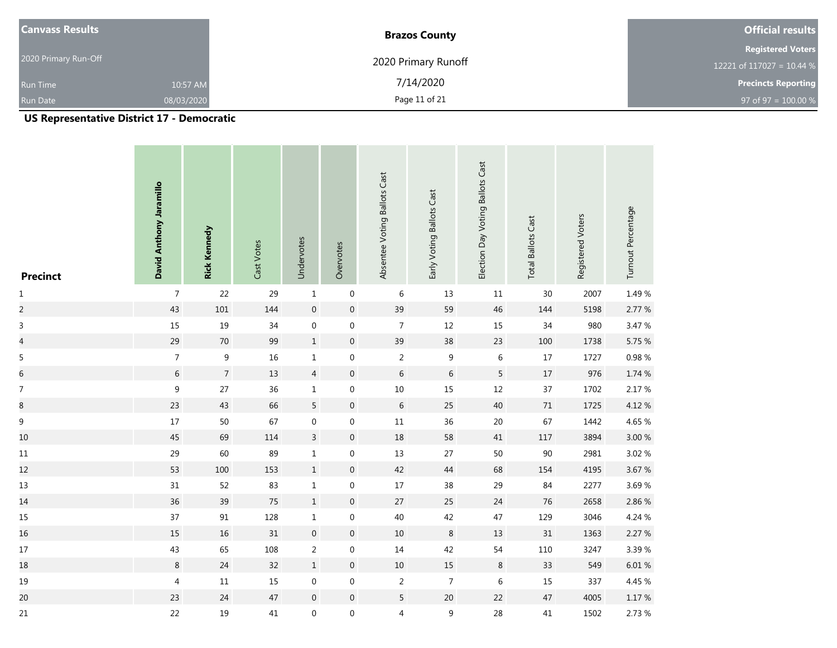| <b>Canvass Results</b> |            | <b>Brazos County</b> | <b>Official results</b>    |
|------------------------|------------|----------------------|----------------------------|
|                        |            |                      | <b>Registered Voters</b>   |
| 2020 Primary Run-Off   |            | 2020 Primary Runoff  | 12221 of 117027 = 10.44 %  |
| <b>Run Time</b>        | 10:57 AM   | 7/14/2020            | <b>Precincts Reporting</b> |
| <b>Run Date</b>        | 08/03/2020 | Page 11 of 21        | 97 of 97 = $100.00 %$      |

| <b>Precinct</b>         | David Anthony Jaramillo | <b>Rick Kennedy</b>        | Cast Votes | Undervotes       | Overvotes        | Absentee Voting Ballots Cast | Early Voting Ballots Cast | Election Day Voting Ballots Cast | <b>Total Ballots Cast</b> | Registered Voters | Turnout Percentage |
|-------------------------|-------------------------|----------------------------|------------|------------------|------------------|------------------------------|---------------------------|----------------------------------|---------------------------|-------------------|--------------------|
| $\mathbf{1}$            | $\overline{7}$          | 22                         | 29         | $\,1\,$          | $\boldsymbol{0}$ | $\,6\,$                      | 13                        | $11\,$                           | 30                        | 2007              | 1.49%              |
| $\overline{c}$          | 43                      | $101\,$                    | 144        | $\boldsymbol{0}$ | $\boldsymbol{0}$ | 39                           | 59                        | 46                               | 144                       | 5198              | 2.77 %             |
| $\overline{3}$          | 15                      | 19                         | 34         | $\boldsymbol{0}$ | $\boldsymbol{0}$ | $\overline{7}$               | $12$                      | 15                               | 34                        | 980               | 3.47 %             |
| $\overline{\mathbf{r}}$ | 29                      | $70\,$                     | 99         | $\,1\,$          | $\boldsymbol{0}$ | 39                           | 38                        | 23                               | $100\,$                   | 1738              | 5.75 %             |
| 5                       | $\overline{7}$          | $\boldsymbol{9}$           | $16\,$     | $\mathbf 1$      | $\boldsymbol{0}$ | $\overline{2}$               | $\boldsymbol{9}$          | $\sqrt{6}$                       | $17\,$                    | 1727              | 0.98%              |
| $\overline{6}$          | $6\,$                   | $\overline{7}$             | $13\,$     | $\overline{4}$   | $\boldsymbol{0}$ | $\,$ 6 $\,$                  | $\sqrt{6}$                | $\overline{5}$                   | $17\,$                    | 976               | 1.74 %             |
| $\boldsymbol{7}$        | 9                       | $27\,$                     | 36         | $\mathbf 1$      | $\boldsymbol{0}$ | $10\,$                       | 15                        | 12                               | $37\,$                    | 1702              | 2.17%              |
| 8                       | $23\,$                  | 43                         | 66         | 5                | $\boldsymbol{0}$ | $\sqrt{6}$                   | 25                        | $40\,$                           | $71\,$                    | 1725              | 4.12%              |
| $\boldsymbol{9}$        | $17\,$                  | $50\,$                     | 67         | $\boldsymbol{0}$ | $\boldsymbol{0}$ | $11\,$                       | 36                        | 20                               | 67                        | 1442              | 4.65 %             |
| $10\,$                  | 45                      | 69                         | 114        | $\overline{3}$   | $\boldsymbol{0}$ | 18                           | 58                        | $41\,$                           | $117\,$                   | 3894              | 3.00 %             |
| $11\,$                  | 29                      | 60                         | 89         | $\mathbf 1$      | $\boldsymbol{0}$ | 13                           | 27                        | 50                               | 90                        | 2981              | 3.02%              |
| 12                      | 53                      | $100\,$                    | 153        | $\mathbf 1$      | $\mathbf 0$      | 42                           | 44                        | 68                               | 154                       | 4195              | 3.67%              |
| $13\,$                  | $31\,$                  | 52                         | 83         | $\mathbf 1$      | $\boldsymbol{0}$ | $17\,$                       | 38                        | 29                               | 84                        | 2277              | 3.69%              |
| 14                      | 36                      | 39                         | $75\,$     | $1\,$            | $\boldsymbol{0}$ | 27                           | 25                        | 24                               | $76\,$                    | 2658              | 2.86%              |
| $15\,$                  | $37\,$                  | $\ensuremath{\mathsf{91}}$ | 128        | $\mathbf 1$      | $\boldsymbol{0}$ | 40                           | 42                        | 47                               | 129                       | 3046              | 4.24 %             |
| 16                      | 15                      | $16\,$                     | $31\,$     | $\boldsymbol{0}$ | $\boldsymbol{0}$ | $10\,$                       | $\,8\,$                   | $13\,$                           | $31\,$                    | 1363              | 2.27 %             |
| $17\,$                  | 43                      | 65                         | 108        | $\overline{2}$   | $\boldsymbol{0}$ | 14                           | 42                        | 54                               | 110                       | 3247              | 3.39%              |
| 18                      | $\,8\,$                 | 24                         | 32         | $\,$ 1 $\,$      | $\boldsymbol{0}$ | $10\,$                       | $15\,$                    | $\,8\,$                          | 33                        | 549               | 6.01%              |
| 19                      | $\overline{\mathbf{4}}$ | $11\,$                     | $15\,$     | $\boldsymbol{0}$ | $\boldsymbol{0}$ | $\overline{2}$               | $\overline{7}$            | $\,$ 6 $\,$                      | 15                        | 337               | 4.45 %             |
| 20                      | 23                      | 24                         | 47         | $\boldsymbol{0}$ | $\boldsymbol{0}$ | 5                            | 20                        | 22                               | 47                        | 4005              | $1.17~\%$          |
| $21\,$                  | 22                      | 19                         | 41         | $\boldsymbol{0}$ | $\boldsymbol{0}$ | $\overline{4}$               | 9                         | 28                               | 41                        | 1502              | 2.73 %             |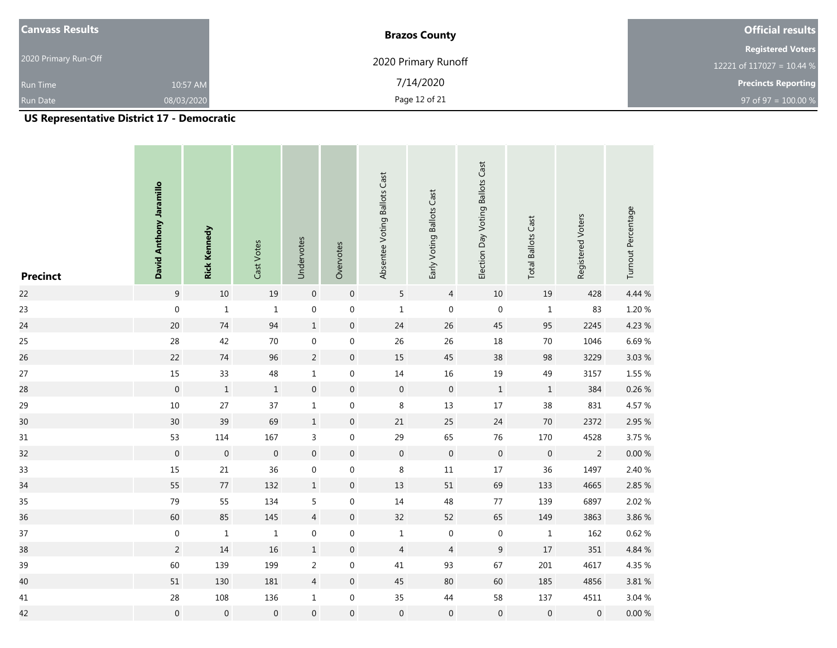| <b>Canvass Results</b> |            | <b>Brazos County</b> | <b>Official results</b>    |
|------------------------|------------|----------------------|----------------------------|
|                        |            |                      | <b>Registered Voters</b>   |
| 2020 Primary Run-Off   |            | 2020 Primary Runoff  | 12221 of 117027 = 10.44 %  |
| <b>Run Time</b>        | 10:57 AM   | 7/14/2020            | <b>Precincts Reporting</b> |
| <b>Run Date</b>        | 08/03/2020 | Page 12 of 21        | 97 of 97 = $100.00 %$      |

| <b>Precinct</b> | David Anthony Jaramillo | <b>Rick Kennedy</b> | Cast Votes       | Undervotes       | Overvotes        | Absentee Voting Ballots Cast | Early Voting Ballots Cast | Election Day Voting Ballots Cast | <b>Total Ballots Cast</b> | Registered Voters | Turnout Percentage |
|-----------------|-------------------------|---------------------|------------------|------------------|------------------|------------------------------|---------------------------|----------------------------------|---------------------------|-------------------|--------------------|
| 22              | $\boldsymbol{9}$        | $10\,$              | $19\,$           | $\,0\,$          | $\boldsymbol{0}$ | 5                            | $\overline{4}$            | $10\,$                           | $19\,$                    | 428               | 4.44 %             |
| 23              | $\boldsymbol{0}$        | $\,1\,$             | $\mathbf 1$      | $\boldsymbol{0}$ | $\boldsymbol{0}$ | $\mathbf 1$                  | $\boldsymbol{0}$          | $\boldsymbol{0}$                 | $1\,$                     | 83                | $1.20~\%$          |
| 24              | $20\,$                  | $74\,$              | 94               | $\mathbf 1$      | $\boldsymbol{0}$ | $24\,$                       | 26                        | 45                               | 95                        | 2245              | 4.23 %             |
| 25              | ${\bf 28}$              | 42                  | $70\,$           | $\boldsymbol{0}$ | $\boldsymbol{0}$ | 26                           | 26                        | $18\,$                           | $70\,$                    | 1046              | 6.69%              |
| 26              | 22                      | $74\,$              | 96               | $\overline{2}$   | $\boldsymbol{0}$ | 15                           | 45                        | 38                               | 98                        | 3229              | 3.03 %             |
| $27\,$          | $15\,$                  | $33\,$              | 48               | $\mathbf{1}$     | $\boldsymbol{0}$ | $14\,$                       | 16                        | 19                               | 49                        | 3157              | $1.55~\%$          |
| 28              | $\mathbf 0$             | $\,$ 1              | $\,$ 1 $\,$      | $\,0\,$          | $\boldsymbol{0}$ | $\boldsymbol{0}$             | $\mathbf 0$               | $\,$ 1                           | $\,1\,$                   | 384               | 0.26%              |
| 29              | $10\,$                  | $27\,$              | 37               | $\mathbf{1}$     | $\boldsymbol{0}$ | 8                            | 13                        | $17\,$                           | $38\,$                    | 831               | 4.57%              |
| 30              | $30\,$                  | 39                  | 69               | $\,1$            | $\boldsymbol{0}$ | $21\,$                       | $25\,$                    | 24                               | $70\,$                    | 2372              | 2.95 %             |
| $31\,$          | 53                      | $114\,$             | 167              | 3                | $\boldsymbol{0}$ | 29                           | 65                        | $76\,$                           | $170\,$                   | 4528              | 3.75 %             |
| 32              | $\mathbf 0$             | $\,0\,$             | $\,0\,$          | $\boldsymbol{0}$ | $\boldsymbol{0}$ | $\boldsymbol{0}$             | $\mathbf 0$               | $\,0\,$                          | $\,0\,$                   | $\overline{2}$    | $0.00\ \%$         |
| 33              | $15\,$                  | $21\,$              | 36               | 0                | $\boldsymbol{0}$ | $\,8\,$                      | $11\,$                    | $17\,$                           | $36\,$                    | 1497              | 2.40 %             |
| 34              | 55                      | $77\,$              | 132              | $1\,$            | $\boldsymbol{0}$ | 13                           | $51\,$                    | 69                               | 133                       | 4665              | 2.85 %             |
| 35              | 79                      | 55                  | 134              | 5                | $\boldsymbol{0}$ | $14\,$                       | $\sqrt{48}$               | $77\,$                           | 139                       | 6897              | 2.02%              |
| 36              | 60                      | 85                  | 145              | $\overline{4}$   | $\boldsymbol{0}$ | $32\,$                       | 52                        | 65                               | 149                       | 3863              | 3.86 %             |
| 37              | $\boldsymbol{0}$        | $\,1\,$             | $\mathbf 1$      | $\boldsymbol{0}$ | $\boldsymbol{0}$ | $\mathbf 1$                  | $\boldsymbol{0}$          | $\boldsymbol{0}$                 | $\,1\,$                   | 162               | $0.62~\%$          |
| 38              | $\overline{c}$          | $14\,$              | $16\,$           | $\,1\,$          | $\boldsymbol{0}$ | $\overline{4}$               | $\overline{4}$            | $\boldsymbol{9}$                 | $17\,$                    | 351               | 4.84 %             |
| 39              | 60                      | 139                 | 199              | $\overline{2}$   | $\boldsymbol{0}$ | 41                           | 93                        | 67                               | $201\,$                   | 4617              | 4.35%              |
| 40              | $51\,$                  | 130                 | 181              | $\overline{4}$   | $\boldsymbol{0}$ | $45\,$                       | $80\,$                    | 60                               | 185                       | 4856              | $3.81\,\%$         |
| 41              | ${\bf 28}$              | $108\,$             | 136              | $\mathbf 1$      | $\boldsymbol{0}$ | 35                           | $44\,$                    | 58                               | 137                       | 4511              | 3.04 %             |
| 42              | $\boldsymbol{0}$        | $\boldsymbol{0}$    | $\boldsymbol{0}$ | $\boldsymbol{0}$ | $\boldsymbol{0}$ | $\boldsymbol{0}$             | $\boldsymbol{0}$          | $\boldsymbol{0}$                 | $\boldsymbol{0}$          | $\boldsymbol{0}$  | $0.00\ \%$         |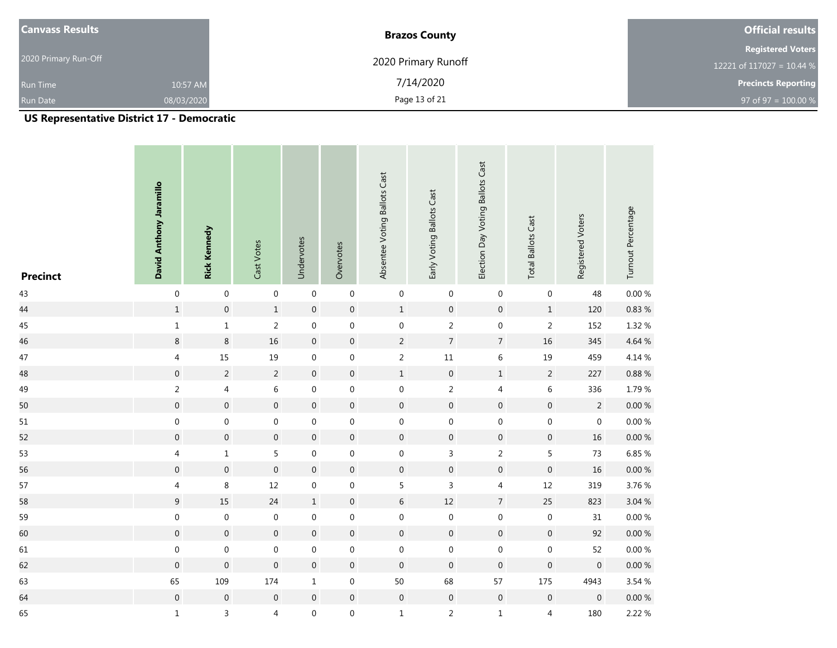| <b>Canvass Results</b> |            | <b>Brazos County</b> | <b>Official results</b>    |
|------------------------|------------|----------------------|----------------------------|
|                        |            |                      | <b>Registered Voters</b>   |
| 2020 Primary Run-Off   |            | 2020 Primary Runoff  | 12221 of 117027 = 10.44 %  |
| <b>Run Time</b>        | 10:57 AM   | 7/14/2020            | <b>Precincts Reporting</b> |
| <b>Run Date</b>        | 08/03/2020 | Page 13 of 21        | 97 of 97 = $100.00 %$      |

| <b>Precinct</b> | David Anthony Jaramillo | <b>Rick Kennedy</b> | Cast Votes       | Undervotes       | Overvotes        | Absentee Voting Ballots Cast | Early Voting Ballots Cast | Election Day Voting Ballots Cast | <b>Total Ballots Cast</b> | Registered Voters | Turnout Percentage |
|-----------------|-------------------------|---------------------|------------------|------------------|------------------|------------------------------|---------------------------|----------------------------------|---------------------------|-------------------|--------------------|
| 43              | $\boldsymbol{0}$        | $\boldsymbol{0}$    | $\boldsymbol{0}$ | $\boldsymbol{0}$ | $\boldsymbol{0}$ | $\boldsymbol{0}$             | $\boldsymbol{0}$          | $\boldsymbol{0}$                 | $\boldsymbol{0}$          | 48                | $0.00 \%$          |
| 44              | $\,1\,$                 | $\boldsymbol{0}$    | $\,1$            | $\boldsymbol{0}$ | $\boldsymbol{0}$ | $\,1$                        | $\boldsymbol{0}$          | $\boldsymbol{0}$                 | $\,1$                     | 120               | $0.83~\%$          |
| $45\,$          | $\,1\,$                 | $\mathbf 1$         | $\overline{2}$   | $\boldsymbol{0}$ | $\boldsymbol{0}$ | $\boldsymbol{0}$             | $\overline{2}$            | $\boldsymbol{0}$                 | $\sqrt{2}$                | 152               | 1.32 %             |
| 46              | $\,8\,$                 | $\,8\,$             | 16               | $\boldsymbol{0}$ | $\boldsymbol{0}$ | $\overline{2}$               | $\boldsymbol{7}$          | $\boldsymbol{7}$                 | $16\,$                    | 345               | 4.64 %             |
| $47\,$          | $\sqrt{4}$              | $15\,$              | 19               | $\boldsymbol{0}$ | $\boldsymbol{0}$ | $\overline{c}$               | $11\,$                    | $\,$ 6 $\,$                      | $19\,$                    | 459               | 4.14 %             |
| 48              | $\boldsymbol{0}$        | $\overline{c}$      | $\sqrt{2}$       | $\boldsymbol{0}$ | $\boldsymbol{0}$ | $\,1$                        | $\mathbf 0$               | $\,1\,$                          | $\overline{c}$            | 227               | $0.88~\%$          |
| 49              | $\overline{2}$          | $\sqrt{4}$          | $\,$ 6 $\,$      | $\boldsymbol{0}$ | $\boldsymbol{0}$ | $\boldsymbol{0}$             | $\overline{2}$            | 4                                | $\,$ 6 $\,$               | 336               | 1.79%              |
| 50              | $\boldsymbol{0}$        | $\boldsymbol{0}$    | $\boldsymbol{0}$ | $\boldsymbol{0}$ | $\boldsymbol{0}$ | $\boldsymbol{0}$             | $\mathbf 0$               | $\boldsymbol{0}$                 | $\boldsymbol{0}$          | $\sqrt{2}$        | $0.00\,\%$         |
| $51\,$          | $\boldsymbol{0}$        | $\boldsymbol{0}$    | $\boldsymbol{0}$ | $\boldsymbol{0}$ | $\boldsymbol{0}$ | $\boldsymbol{0}$             | $\boldsymbol{0}$          | $\boldsymbol{0}$                 | $\boldsymbol{0}$          | $\boldsymbol{0}$  | $0.00\ \%$         |
| 52              | $\boldsymbol{0}$        | $\boldsymbol{0}$    | $\boldsymbol{0}$ | $\boldsymbol{0}$ | $\boldsymbol{0}$ | $\boldsymbol{0}$             | $\mathbf 0$               | $\boldsymbol{0}$                 | $\boldsymbol{0}$          | $16\,$            | $0.00\ \%$         |
| 53              | $\overline{4}$          | $\mathbf 1$         | 5                | $\boldsymbol{0}$ | $\boldsymbol{0}$ | $\boldsymbol{0}$             | $\mathsf{3}$              | $\overline{2}$                   | $\sqrt{5}$                | 73                | 6.85 %             |
| 56              | $\boldsymbol{0}$        | $\boldsymbol{0}$    | $\boldsymbol{0}$ | $\boldsymbol{0}$ | $\boldsymbol{0}$ | $\boldsymbol{0}$             | $\mathbf 0$               | $\boldsymbol{0}$                 | $\boldsymbol{0}$          | $16\,$            | $0.00\ \%$         |
| 57              | 4                       | $\,8\,$             | $12\,$           | $\boldsymbol{0}$ | $\boldsymbol{0}$ | 5                            | $\mathsf 3$               | $\overline{4}$                   | $12\,$                    | 319               | 3.76%              |
| 58              | $\boldsymbol{9}$        | $15\,$              | $24$             | $\,1\,$          | $\boldsymbol{0}$ | $\,$ 6 $\,$                  | $12\,$                    | $\sqrt{ }$                       | $25\,$                    | 823               | 3.04 %             |
| 59              | $\boldsymbol{0}$        | $\boldsymbol{0}$    | $\boldsymbol{0}$ | $\boldsymbol{0}$ | $\boldsymbol{0}$ | $\boldsymbol{0}$             | $\boldsymbol{0}$          | $\boldsymbol{0}$                 | $\boldsymbol{0}$          | $31\,$            | $0.00\ \%$         |
| 60              | $\boldsymbol{0}$        | $\boldsymbol{0}$    | $\boldsymbol{0}$ | $\boldsymbol{0}$ | $\boldsymbol{0}$ | $\boldsymbol{0}$             | $\mathbf 0$               | $\boldsymbol{0}$                 | $\boldsymbol{0}$          | 92                | $0.00\,\%$         |
| 61              | $\boldsymbol{0}$        | $\boldsymbol{0}$    | $\boldsymbol{0}$ | $\boldsymbol{0}$ | $\boldsymbol{0}$ | $\boldsymbol{0}$             | $\boldsymbol{0}$          | $\boldsymbol{0}$                 | $\boldsymbol{0}$          | 52                | $0.00\ \%$         |
| 62              | $\boldsymbol{0}$        | $\boldsymbol{0}$    | $\boldsymbol{0}$ | $\boldsymbol{0}$ | $\boldsymbol{0}$ | $\boldsymbol{0}$             | $\boldsymbol{0}$          | $\boldsymbol{0}$                 | $\boldsymbol{0}$          | $\boldsymbol{0}$  | $0.00\,\%$         |
| 63              | 65                      | 109                 | 174              | $\mathbf 1$      | $\boldsymbol{0}$ | $50\,$                       | 68                        | 57                               | $175\,$                   | 4943              | 3.54 %             |
| 64              | $\mathbf 0$             | $\boldsymbol{0}$    | $\boldsymbol{0}$ | $\boldsymbol{0}$ | $\boldsymbol{0}$ | $\boldsymbol{0}$             | $\boldsymbol{0}$          | $\boldsymbol{0}$                 | $\boldsymbol{0}$          | $\pmb{0}$         | $0.00\,\%$         |
| 65              | $\mathbf 1$             | $\overline{3}$      | $\overline{4}$   | $\boldsymbol{0}$ | $\boldsymbol{0}$ | $\mathbf 1$                  | $\overline{2}$            | $\mathbf 1$                      | $\sqrt{4}$                | 180               | 2.22 %             |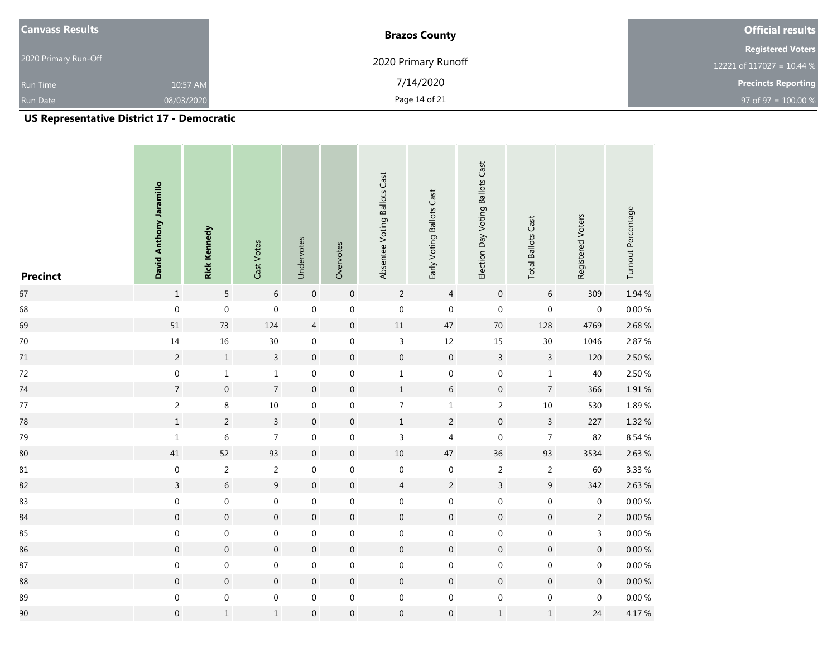| <b>Canvass Results</b> |            | <b>Brazos County</b> | <b>Official results</b>    |
|------------------------|------------|----------------------|----------------------------|
|                        |            |                      | <b>Registered Voters</b>   |
| 2020 Primary Run-Off   |            | 2020 Primary Runoff  | 12221 of 117027 = 10.44 %  |
| <b>Run Time</b>        | 10:57 AM   | 7/14/2020            | <b>Precincts Reporting</b> |
| <b>Run Date</b>        | 08/03/2020 | Page 14 of 21        | 97 of 97 = $100.00 %$      |

| <b>Precinct</b> | David Anthony Jaramillo | <b>Rick Kennedy</b> | Cast Votes       | Undervotes       | Overvotes        | Absentee Voting Ballots Cast | Early Voting Ballots Cast | Election Day Voting Ballots Cast | <b>Total Ballots Cast</b> | Registered Voters   | Turnout Percentage |
|-----------------|-------------------------|---------------------|------------------|------------------|------------------|------------------------------|---------------------------|----------------------------------|---------------------------|---------------------|--------------------|
| 67              | $\,1$                   | $5\phantom{.0}$     | $6\,$            | $\mathbf 0$      | $\boldsymbol{0}$ | $\overline{2}$               | $\overline{4}$            | $\boldsymbol{0}$                 | $\,$ 6 $\,$               | 309                 | 1.94 %             |
| 68              | $\boldsymbol{0}$        | $\boldsymbol{0}$    | $\boldsymbol{0}$ | $\boldsymbol{0}$ | $\boldsymbol{0}$ | $\boldsymbol{0}$             | $\mathbf 0$               | $\boldsymbol{0}$                 | $\boldsymbol{0}$          | $\boldsymbol{0}$    | $0.00\ \%$         |
| 69              | 51                      | 73                  | 124              | $\overline{4}$   | $\boldsymbol{0}$ | $11\,$                       | 47                        | $70\,$                           | 128                       | 4769                | 2.68%              |
| $70\,$          | $14\,$                  | 16                  | $30\,$           | $\boldsymbol{0}$ | $\boldsymbol{0}$ | 3                            | $12\,$                    | 15                               | $30\,$                    | 1046                | 2.87%              |
| $71\,$          | $\overline{2}$          | $\,$ 1 $\,$         | $\mathsf{3}$     | $\mathbf 0$      | $\boldsymbol{0}$ | $\pmb{0}$                    | $\mathbf 0$               | $\overline{3}$                   | $\overline{3}$            | 120                 | 2.50 %             |
| $72\,$          | $\boldsymbol{0}$        | $\,1\,$             | $\mathbf 1$      | $\boldsymbol{0}$ | $\mathbf 0$      | $\mathbf 1$                  | $\boldsymbol{0}$          | $\boldsymbol{0}$                 | $\mathbf 1$               | $40\,$              | 2.50%              |
| 74              | $\sqrt{ }$              | $\mathbf 0$         | $\overline{7}$   | $\boldsymbol{0}$ | $\boldsymbol{0}$ | $\mathbf 1$                  | $\sqrt{6}$                | $\,0\,$                          | $\sqrt{ }$                | 366                 | $1.91\,\%$         |
| $77\,$          | $\overline{a}$          | $\,8\,$             | $10\,$           | $\boldsymbol{0}$ | $\boldsymbol{0}$ | $\overline{7}$               | $\,1\,$                   | $\sqrt{2}$                       | $10\,$                    | 530                 | $1.89~\%$          |
| 78              | $\mathbf 1$             | $\sqrt{2}$          | $\mathsf{3}$     | $\boldsymbol{0}$ | $\boldsymbol{0}$ | $\,1$                        | $\overline{2}$            | $\,0\,$                          | $\overline{3}$            | 227                 | $1.32~\%$          |
| 79              | $\,1\,$                 | 6                   | $\overline{7}$   | $\boldsymbol{0}$ | $\boldsymbol{0}$ | 3                            | 4                         | $\boldsymbol{0}$                 | $\overline{7}$            | 82                  | 8.54%              |
| 80              | 41                      | 52                  | 93               | $\boldsymbol{0}$ | $\boldsymbol{0}$ | $10\,$                       | 47                        | 36                               | 93                        | 3534                | 2.63 %             |
| $81\,$          | $\boldsymbol{0}$        | $\sqrt{2}$          | $\overline{2}$   | $\boldsymbol{0}$ | $\boldsymbol{0}$ | $\boldsymbol{0}$             | $\boldsymbol{0}$          | $\sqrt{2}$                       | $\overline{2}$            | 60                  | 3.33%              |
| 82              | $\overline{3}$          | $6\phantom{a}$      | $\overline{9}$   | $\boldsymbol{0}$ | $\boldsymbol{0}$ | $\overline{4}$               | $\overline{2}$            | $\overline{3}$                   | $\boldsymbol{9}$          | 342                 | 2.63 %             |
| 83              | $\boldsymbol{0}$        | $\boldsymbol{0}$    | $\boldsymbol{0}$ | $\boldsymbol{0}$ | $\boldsymbol{0}$ | $\boldsymbol{0}$             | $\boldsymbol{0}$          | $\boldsymbol{0}$                 | $\boldsymbol{0}$          | $\boldsymbol{0}$    | $0.00\ \%$         |
| 84              | $\boldsymbol{0}$        | $\,0\,$             | $\boldsymbol{0}$ | $\boldsymbol{0}$ | $\boldsymbol{0}$ | $\boldsymbol{0}$             | $\boldsymbol{0}$          | $\,0\,$                          | $\mathbf 0$               | $\overline{c}$      | $0.00\ \%$         |
| 85              | $\boldsymbol{0}$        | $\boldsymbol{0}$    | $\boldsymbol{0}$ | 0                | $\boldsymbol{0}$ | $\boldsymbol{0}$             | 0                         | $\boldsymbol{0}$                 | $\boldsymbol{0}$          | $\mathsf{3}$        | $0.00\,\%$         |
| 86              | $\boldsymbol{0}$        | $\mathbf 0$         | $\boldsymbol{0}$ | $\boldsymbol{0}$ | $\boldsymbol{0}$ | $\pmb{0}$                    | $\pmb{0}$                 | $\boldsymbol{0}$                 | $\mathbf 0$               | $\mathsf{O}\xspace$ | $0.00\ \%$         |
| 87              | $\boldsymbol{0}$        | $\boldsymbol{0}$    | $\boldsymbol{0}$ | $\boldsymbol{0}$ | $\boldsymbol{0}$ | $\boldsymbol{0}$             | $\boldsymbol{0}$          | $\boldsymbol{0}$                 | $\boldsymbol{0}$          | $\boldsymbol{0}$    | $0.00\,\%$         |
| 88              | $\mathbf 0$             | $\mathbf 0$         | $\boldsymbol{0}$ | $\mathbf 0$      | $\boldsymbol{0}$ | $\boldsymbol{0}$             | $\boldsymbol{0}$          | $\boldsymbol{0}$                 | $\mathbf 0$               | $\boldsymbol{0}$    | $0.00\ \%$         |
| 89              | $\boldsymbol{0}$        | $\boldsymbol{0}$    | $\boldsymbol{0}$ | $\mathbf 0$      | $\mathbf 0$      | $\boldsymbol{0}$             | $\boldsymbol{0}$          | $\boldsymbol{0}$                 | $\boldsymbol{0}$          | $\boldsymbol{0}$    | $0.00\ \%$         |
| 90              | $\boldsymbol{0}$        | $\,1\,$             | $\mathbf 1$      | $\boldsymbol{0}$ | $\boldsymbol{0}$ | $\overline{0}$               | $\boldsymbol{0}$          | $\,1\,$                          | $\,1\,$                   | 24                  | 4.17%              |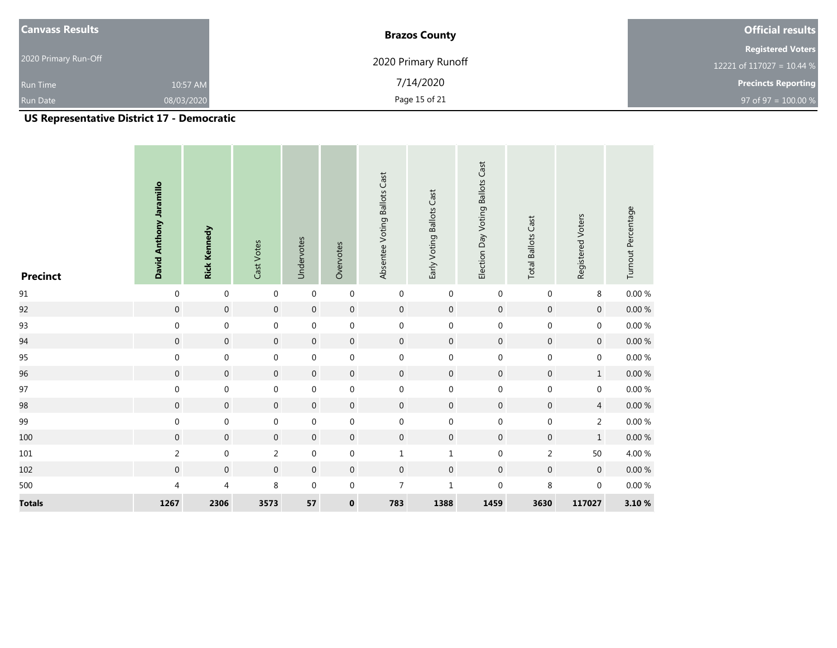| <b>Canvass Results</b> |            | <b>Brazos County</b> | <b>Official results</b>    |
|------------------------|------------|----------------------|----------------------------|
|                        |            |                      | <b>Registered Voters</b>   |
| 2020 Primary Run-Off   |            | 2020 Primary Runoff  | 12221 of 117027 = 10.44 %  |
| <b>Run Time</b>        | 10:57 AM   | 7/14/2020            | <b>Precincts Reporting</b> |
| <b>Run Date</b>        | 08/03/2020 | Page 15 of 21        | 97 of 97 = $100.00 %$      |

| <b>Precinct</b> | David Anthony Jaramillo | <b>Rick Kennedy</b> | Cast Votes       | Undervotes       | Overvotes        | Absentee Voting Ballots Cast | Early Voting Ballots Cast | Election Day Voting Ballots Cast | <b>Total Ballots Cast</b> | Registered Voters | Turnout Percentage |
|-----------------|-------------------------|---------------------|------------------|------------------|------------------|------------------------------|---------------------------|----------------------------------|---------------------------|-------------------|--------------------|
| $91\,$          | $\boldsymbol{0}$        | $\boldsymbol{0}$    | $\boldsymbol{0}$ | $\boldsymbol{0}$ | $\boldsymbol{0}$ | $\boldsymbol{0}$             | $\boldsymbol{0}$          | $\boldsymbol{0}$                 | $\boldsymbol{0}$          | 8                 | $0.00\ \%$         |
| 92              | $\mathbf 0$             | $\boldsymbol{0}$    | $\boldsymbol{0}$ | $\mathbf 0$      | $\boldsymbol{0}$ | $\boldsymbol{0}$             | $\boldsymbol{0}$          | $\boldsymbol{0}$                 | $\boldsymbol{0}$          | $\boldsymbol{0}$  | $0.00~\%$          |
| 93              | $\boldsymbol{0}$        | $\boldsymbol{0}$    | $\boldsymbol{0}$ | $\boldsymbol{0}$ | 0                | $\boldsymbol{0}$             | $\boldsymbol{0}$          | $\boldsymbol{0}$                 | $\boldsymbol{0}$          | 0                 | $0.00\ \%$         |
| 94              | $\boldsymbol{0}$        | $\boldsymbol{0}$    | $\boldsymbol{0}$ | $\boldsymbol{0}$ | $\mathbf 0$      | $\boldsymbol{0}$             | $\boldsymbol{0}$          | $\boldsymbol{0}$                 | $\boldsymbol{0}$          | $\boldsymbol{0}$  | $0.00\ \%$         |
| 95              | $\boldsymbol{0}$        | $\boldsymbol{0}$    | $\boldsymbol{0}$ | $\boldsymbol{0}$ | $\boldsymbol{0}$ | $\boldsymbol{0}$             | $\boldsymbol{0}$          | $\mathbf 0$                      | $\boldsymbol{0}$          | $\boldsymbol{0}$  | $0.00\ \%$         |
| 96              | $\,0\,$                 | $\boldsymbol{0}$    | $\boldsymbol{0}$ | $\boldsymbol{0}$ | $\mathbf 0$      | $\boldsymbol{0}$             | $\boldsymbol{0}$          | $\boldsymbol{0}$                 | $\boldsymbol{0}$          | $\mathbf 1$       | $0.00\ \%$         |
| 97              | $\boldsymbol{0}$        | $\boldsymbol{0}$    | $\boldsymbol{0}$ | $\boldsymbol{0}$ | $\boldsymbol{0}$ | $\boldsymbol{0}$             | $\boldsymbol{0}$          | $\boldsymbol{0}$                 | $\boldsymbol{0}$          | $\boldsymbol{0}$  | $0.00\,\%$         |
| 98              | $\mathbf 0$             | $\boldsymbol{0}$    | $\boldsymbol{0}$ | $\boldsymbol{0}$ | $\boldsymbol{0}$ | $\boldsymbol{0}$             | $\boldsymbol{0}$          | $\boldsymbol{0}$                 | $\,0\,$                   | $\overline{4}$    | $0.00\ \%$         |
| 99              | $\boldsymbol{0}$        | $\boldsymbol{0}$    | $\boldsymbol{0}$ | $\boldsymbol{0}$ | $\boldsymbol{0}$ | $\boldsymbol{0}$             | $\boldsymbol{0}$          | $\boldsymbol{0}$                 | $\boldsymbol{0}$          | $\overline{2}$    | $0.00\ \%$         |
| 100             | $\mathbf 0$             | $\mathbf 0$         | $\boldsymbol{0}$ | $\boldsymbol{0}$ | $\mathbf 0$      | $\boldsymbol{0}$             | $\boldsymbol{0}$          | $\boldsymbol{0}$                 | $\boldsymbol{0}$          | $1\,$             | $0.00\ \%$         |
| $101\,$         | $\overline{c}$          | $\boldsymbol{0}$    | $\overline{2}$   | $\boldsymbol{0}$ | $\boldsymbol{0}$ | $\mathbf{1}$                 | $\mathbf 1$               | $\boldsymbol{0}$                 | $\overline{2}$            | 50                | 4.00%              |
| 102             | $\boldsymbol{0}$        | $\boldsymbol{0}$    | $\boldsymbol{0}$ | $\boldsymbol{0}$ | $\mathbf 0$      | $\boldsymbol{0}$             | $\boldsymbol{0}$          | $\boldsymbol{0}$                 | $\boldsymbol{0}$          | $\mathbf 0$       | $0.00~\%$          |
| 500             | 4                       | $\overline{4}$      | $\,8\,$          | $\boldsymbol{0}$ | $\boldsymbol{0}$ | $\overline{7}$               | $\mathbf 1$               | $\boldsymbol{0}$                 | $\,8\,$                   | $\boldsymbol{0}$  | $0.00\ \%$         |
| <b>Totals</b>   | 1267                    | 2306                | 3573             | 57               | $\pmb{0}$        | 783                          | 1388                      | 1459                             | 3630                      | 117027            | 3.10 %             |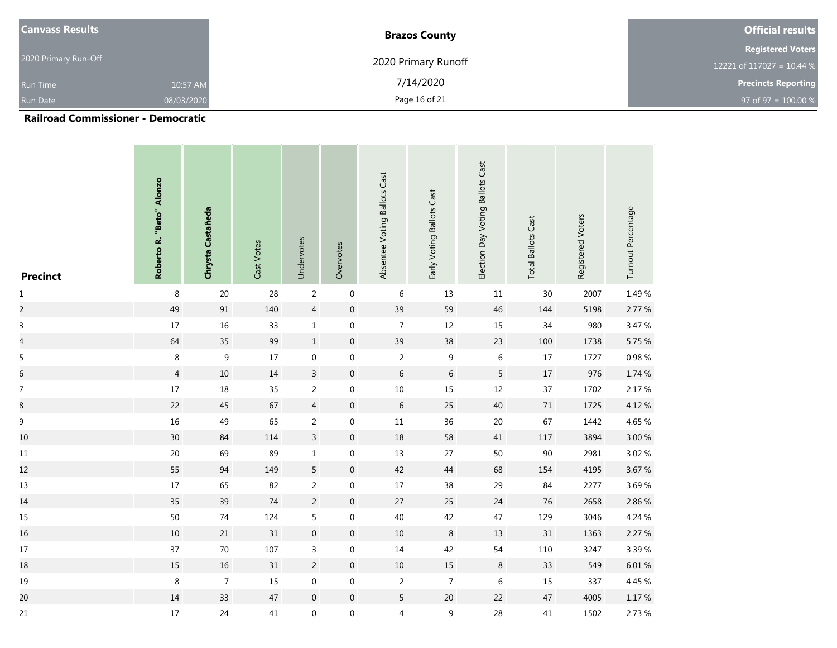| <b>Canvass Results</b> |            | <b>Brazos County</b> | <b>Official results</b>    |
|------------------------|------------|----------------------|----------------------------|
|                        |            |                      | <b>Registered Voters</b>   |
| 2020 Primary Run-Off   |            | 2020 Primary Runoff  | 12221 of 117027 = 10.44 %  |
| <b>Run Time</b>        | 10:57 AM   | 7/14/2020            | <b>Precincts Reporting</b> |
| <b>Run Date</b>        | 08/03/2020 | Page 16 of 21        | 97 of 97 = $100.00\%$      |

| <b>Precinct</b>          | Roberto R. "Beto" Alonzo | Chrysta Castañeda          | Cast Votes | Undervotes       | Overvotes        | Absentee Voting Ballots Cast | Early Voting Ballots Cast | Election Day Voting Ballots Cast | <b>Total Ballots Cast</b> | Registered Voters | Turnout Percentage |
|--------------------------|--------------------------|----------------------------|------------|------------------|------------------|------------------------------|---------------------------|----------------------------------|---------------------------|-------------------|--------------------|
| $\mathbf{1}$             | $\,8\,$                  | 20                         | 28         | $\overline{2}$   | $\boldsymbol{0}$ | $\,$ 6 $\,$                  | $13\,$                    | $11\,$                           | 30                        | 2007              | 1.49%              |
| $\overline{a}$           | 49                       | $\ensuremath{\mathsf{91}}$ | 140        | $\overline{4}$   | $\boldsymbol{0}$ | 39                           | 59                        | 46                               | 144                       | 5198              | 2.77 %             |
| $\overline{3}$           | $17\,$                   | 16                         | 33         | $\mathbf 1$      | $\boldsymbol{0}$ | $\overline{7}$               | $12\,$                    | 15                               | 34                        | 980               | 3.47 %             |
| $\overline{\mathcal{L}}$ | 64                       | 35                         | 99         | $\,1\,$          | $\boldsymbol{0}$ | 39                           | 38                        | 23                               | 100                       | 1738              | 5.75 %             |
| 5                        | $\,8\,$                  | $\boldsymbol{9}$           | $17\,$     | $\boldsymbol{0}$ | $\boldsymbol{0}$ | $\mathbf 2$                  | $\boldsymbol{9}$          | $\,6\,$                          | 17                        | 1727              | 0.98%              |
| $\overline{6}$           | $\overline{4}$           | 10                         | $14\,$     | $\overline{3}$   | $\boldsymbol{0}$ | $\,$ 6 $\,$                  | $\sqrt{6}$                | $\sqrt{5}$                       | $17$                      | 976               | 1.74 %             |
| $\boldsymbol{7}$         | $17\,$                   | 18                         | 35         | $\overline{2}$   | $\boldsymbol{0}$ | $10\,$                       | $15\,$                    | 12                               | 37                        | 1702              | 2.17%              |
| 8                        | $22\,$                   | 45                         | 67         | $\overline{4}$   | $\boldsymbol{0}$ | $\,$ 6 $\,$                  | 25                        | $40\,$                           | $71\,$                    | 1725              | 4.12%              |
| 9                        | 16                       | 49                         | 65         | $\sqrt{2}$       | $\boldsymbol{0}$ | $11\,$                       | $36\,$                    | 20                               | 67                        | 1442              | 4.65 %             |
| $10\,$                   | $30\,$                   | 84                         | 114        | $\mathsf{3}$     | $\boldsymbol{0}$ | $18\,$                       | 58                        | $41\,$                           | $117\,$                   | 3894              | 3.00 %             |
| $11\,$                   | $20\,$                   | 69                         | 89         | $\mathbf 1$      | $\boldsymbol{0}$ | $13\,$                       | $27\,$                    | 50                               | 90                        | 2981              | 3.02 %             |
| 12                       | 55                       | 94                         | 149        | $\overline{5}$   | $\boldsymbol{0}$ | 42                           | $44\,$                    | 68                               | 154                       | 4195              | 3.67 %             |
| $13\,$                   | $17\,$                   | 65                         | 82         | $\overline{2}$   | $\boldsymbol{0}$ | $17\,$                       | $38\,$                    | 29                               | 84                        | 2277              | 3.69%              |
| 14                       | 35                       | 39                         | $74\,$     | $\overline{2}$   | $\boldsymbol{0}$ | 27                           | 25                        | 24                               | $76\,$                    | 2658              | 2.86%              |
| $15\,$                   | 50                       | 74                         | 124        | 5                | $\boldsymbol{0}$ | $40\,$                       | 42                        | 47                               | 129                       | 3046              | 4.24 %             |
| 16                       | $10\,$                   | $21\,$                     | $31\,$     | $\boldsymbol{0}$ | $\boldsymbol{0}$ | $10\,$                       | $\,8\,$                   | $13\,$                           | $31\,$                    | 1363              | 2.27 %             |
| $17\,$                   | 37                       | 70                         | 107        | $\mathsf{3}$     | $\boldsymbol{0}$ | 14                           | 42                        | 54                               | 110                       | 3247              | 3.39%              |
| 18                       | $15\,$                   | 16                         | $31\,$     | $\overline{2}$   | $\boldsymbol{0}$ | $10\,$                       | $15\,$                    | $\,8\,$                          | 33                        | 549               | $6.01\,\%$         |
| $19\,$                   | $\,8\,$                  | $\overline{7}$             | 15         | $\boldsymbol{0}$ | $\boldsymbol{0}$ | $\mathbf 2$                  | $\boldsymbol{7}$          | $\,$ 6 $\,$                      | 15                        | 337               | 4.45 %             |
| 20                       | 14                       | 33                         | 47         | $\boldsymbol{0}$ | $\boldsymbol{0}$ | $5\phantom{.0}$              | $20\,$                    | 22                               | 47                        | 4005              | 1.17%              |
| 21                       | 17                       | 24                         | 41         | $\boldsymbol{0}$ | $\boldsymbol{0}$ | $\overline{4}$               | 9                         | 28                               | 41                        | 1502              | 2.73 %             |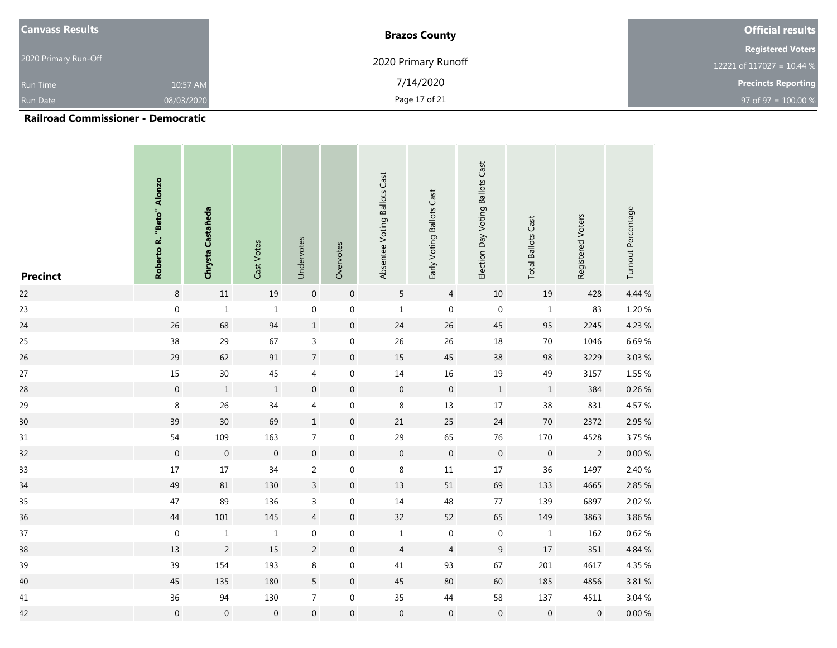| <b>Canvass Results</b> |            | <b>Brazos County</b> | <b>Official results</b>    |
|------------------------|------------|----------------------|----------------------------|
|                        |            |                      | <b>Registered Voters</b>   |
| 2020 Primary Run-Off   |            | 2020 Primary Runoff  | 12221 of 117027 = 10.44 %  |
| <b>Run Time</b>        | 10:57 AM   | 7/14/2020            | <b>Precincts Reporting</b> |
| <b>Run Date</b>        | 08/03/2020 | Page 17 of 21        | 97 of 97 = $100.00 %$      |

| <b>Precinct</b> | Roberto R. "Beto" Alonzo | Chrysta Castañeda | Cast Votes       | Undervotes       | Overvotes        | Absentee Voting Ballots Cast | Early Voting Ballots Cast | Election Day Voting Ballots Cast | <b>Total Ballots Cast</b> | Registered Voters | Turnout Percentage |
|-----------------|--------------------------|-------------------|------------------|------------------|------------------|------------------------------|---------------------------|----------------------------------|---------------------------|-------------------|--------------------|
| 22              | $\bf 8$                  | $11\,$            | $19\,$           | $\,0\,$          | $\boldsymbol{0}$ | $5\phantom{.0}$              | $\overline{4}$            | $10\,$                           | $19\,$                    | 428               | 4.44 %             |
| 23              | $\boldsymbol{0}$         | $\mathbf{1}$      | $\mathbf{1}$     | $\boldsymbol{0}$ | $\boldsymbol{0}$ | $\mathbf 1$                  | $\boldsymbol{0}$          | $\boldsymbol{0}$                 | $1\,$                     | 83                | $1.20~\%$          |
| 24              | 26                       | 68                | 94               | $\mathbf 1$      | $\mathbf 0$      | $24\,$                       | 26                        | 45                               | 95                        | 2245              | 4.23 %             |
| 25              | 38                       | 29                | 67               | 3                | $\boldsymbol{0}$ | 26                           | 26                        | 18                               | $70\,$                    | 1046              | $6.69~\%$          |
| 26              | 29                       | 62                | $91\,$           | $\overline{7}$   | $\mathbf 0$      | 15                           | 45                        | 38                               | 98                        | 3229              | 3.03%              |
| $27\,$          | 15                       | $30\,$            | 45               | 4                | $\boldsymbol{0}$ | 14                           | 16                        | 19                               | 49                        | 3157              | $1.55~\%$          |
| 28              | $\mathbf 0$              | $\,$ 1            | $\,1\,$          | $\boldsymbol{0}$ | $\boldsymbol{0}$ | $\boldsymbol{0}$             | $\mathbf 0$               | $\,1\,$                          | $\,1\,$                   | 384               | 0.26%              |
| 29              | $\,8\,$                  | $26\,$            | 34               | 4                | $\mathbf 0$      | $\,8\,$                      | 13                        | $17\,$                           | 38                        | 831               | 4.57%              |
| 30              | 39                       | $30\,$            | 69               | $1\,$            | $\boldsymbol{0}$ | $21\,$                       | 25                        | 24                               | $70\,$                    | 2372              | 2.95 %             |
| 31              | 54                       | 109               | 163              | $\overline{7}$   | $\mathbf 0$      | 29                           | 65                        | $76\,$                           | 170                       | 4528              | 3.75 %             |
| 32              | $\mathbf 0$              | $\,0\,$           | $\mathbf 0$      | $\mathbf 0$      | $\boldsymbol{0}$ | $\boldsymbol{0}$             | $\mathbf 0$               | $\mathbf 0$                      | $\mathbf 0$               | $\overline{2}$    | $0.00\ \%$         |
| 33              | $17\,$                   | $17\,$            | 34               | $\overline{2}$   | $\mathbf 0$      | $\,8\,$                      | $11\,$                    | $17\,$                           | $36\,$                    | 1497              | 2.40 %             |
| 34              | 49                       | $81\,$            | 130              | $\overline{3}$   | $\boldsymbol{0}$ | 13                           | $51\,$                    | 69                               | 133                       | 4665              | 2.85 %             |
| 35              | $47\,$                   | 89                | 136              | 3                | $\boldsymbol{0}$ | 14                           | 48                        | $77\,$                           | 139                       | 6897              | 2.02 %             |
| 36              | $44$                     | $101\,$           | 145              | $\overline{4}$   | $\mathbf 0$      | $32\,$                       | $52\,$                    | 65                               | 149                       | 3863              | 3.86%              |
| 37              | $\boldsymbol{0}$         | $\mathbf{1}$      | $\mathbf 1$      | $\boldsymbol{0}$ | $\boldsymbol{0}$ | $\mathbf 1$                  | $\boldsymbol{0}$          | $\boldsymbol{0}$                 | $\,1$                     | 162               | $0.62~\%$          |
| 38              | 13                       | $\sqrt{2}$        | $15\,$           | $\overline{2}$   | $\boldsymbol{0}$ | $\overline{4}$               | $\overline{4}$            | $\boldsymbol{9}$                 | $17\,$                    | $351\,$           | 4.84 %             |
| 39              | 39                       | 154               | 193              | 8                | $\mathbf 0$      | $41\,$                       | 93                        | 67                               | 201                       | 4617              | 4.35%              |
| 40              | 45                       | 135               | 180              | 5                | $\overline{0}$   | $45\,$                       | $80\,$                    | 60                               | 185                       | 4856              | $3.81\,\%$         |
| $41\,$          | $36\,$                   | $94\,$            | 130              | $\overline{7}$   | $\boldsymbol{0}$ | 35                           | 44                        | 58                               | 137                       | 4511              | 3.04 %             |
| 42              | $\boldsymbol{0}$         | $\boldsymbol{0}$  | $\boldsymbol{0}$ | $\boldsymbol{0}$ | $\boldsymbol{0}$ | $\boldsymbol{0}$             | $\pmb{0}$                 | $\boldsymbol{0}$                 | $\boldsymbol{0}$          | $\boldsymbol{0}$  | $0.00\ \%$         |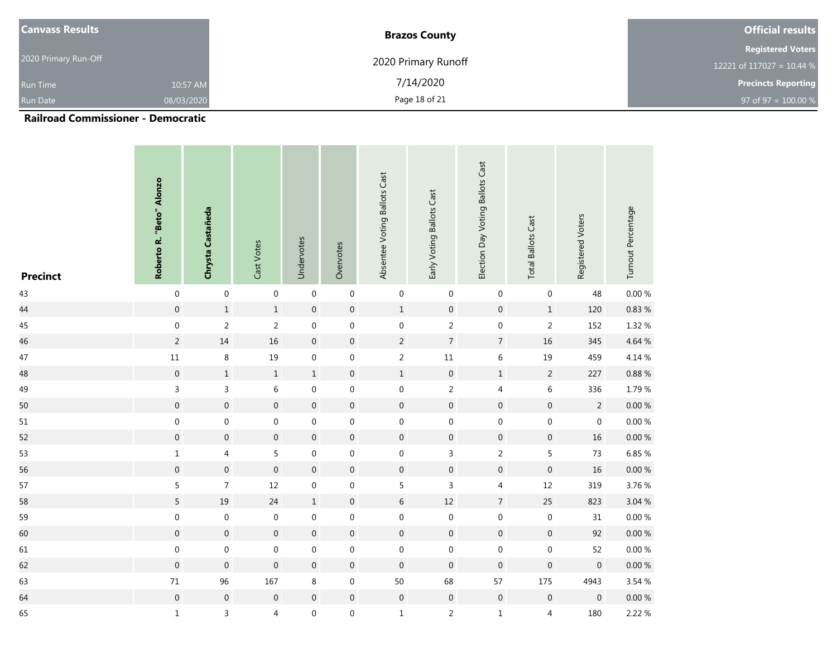| <b>Canvass Results</b> |            | <b>Brazos County</b> | <b>Official results</b>    |
|------------------------|------------|----------------------|----------------------------|
|                        |            |                      | <b>Registered Voters</b>   |
| 2020 Primary Run-Off   |            | 2020 Primary Runoff  | 12221 of 117027 = 10.44 %  |
| <b>Run Time</b>        | 10:57 AM   | 7/14/2020            | <b>Precincts Reporting</b> |
| <b>Run Date</b>        | 08/03/2020 | Page 18 of 21        | 97 of 97 = $100.00 %$      |

| <b>Precinct</b> | Roberto R. "Beto" Alonzo | Chrysta Castañeda | Cast Votes       | Undervotes       | Overvotes        | Absentee Voting Ballots Cast | Early Voting Ballots Cast | Election Day Voting Ballots Cast | <b>Total Ballots Cast</b> | Registered Voters | Turnout Percentage |
|-----------------|--------------------------|-------------------|------------------|------------------|------------------|------------------------------|---------------------------|----------------------------------|---------------------------|-------------------|--------------------|
| 43              | $\boldsymbol{0}$         | $\boldsymbol{0}$  | $\boldsymbol{0}$ | $\boldsymbol{0}$ | $\boldsymbol{0}$ | $\boldsymbol{0}$             | $\boldsymbol{0}$          | $\boldsymbol{0}$                 | $\boldsymbol{0}$          | 48                | 0.00%              |
| 44              | $\mathbf 0$              | $\,1\,$           | $\,1$            | $\boldsymbol{0}$ | $\boldsymbol{0}$ | $\,1$                        | $\boldsymbol{0}$          | $\boldsymbol{0}$                 | $\,1$                     | 120               | 0.83 %             |
| 45              | $\boldsymbol{0}$         | $\sqrt{2}$        | $\overline{2}$   | $\boldsymbol{0}$ | $\boldsymbol{0}$ | $\boldsymbol{0}$             | $\overline{2}$            | $\boldsymbol{0}$                 | $\sqrt{2}$                | 152               | 1.32 %             |
| 46              | $\sqrt{2}$               | 14                | 16               | $\boldsymbol{0}$ | $\boldsymbol{0}$ | $\overline{2}$               | $\boldsymbol{7}$          | $\boldsymbol{7}$                 | $16\,$                    | 345               | 4.64 %             |
| 47              | $11\,$                   | $\,8\,$           | 19               | $\boldsymbol{0}$ | $\boldsymbol{0}$ | $\overline{2}$               | $11\,$                    | $\,$ 6 $\,$                      | $19\,$                    | 459               | 4.14 %             |
| 48              | $\boldsymbol{0}$         | $\mathbf 1$       | $\,1\,$          | $\,1\,$          | $\boldsymbol{0}$ | $\,1$                        | $\boldsymbol{0}$          | $\,1\,$                          | $\sqrt{2}$                | 227               | $0.88~\%$          |
| 49              | $\mathsf{3}$             | $\mathsf{3}$      | $\,6\,$          | $\boldsymbol{0}$ | $\boldsymbol{0}$ | $\boldsymbol{0}$             | $\overline{2}$            | $\overline{4}$                   | $\,$ 6 $\,$               | 336               | 1.79%              |
| 50              | $\boldsymbol{0}$         | $\boldsymbol{0}$  | $\boldsymbol{0}$ | $\boldsymbol{0}$ | $\boldsymbol{0}$ | $\boldsymbol{0}$             | $\boldsymbol{0}$          | $\boldsymbol{0}$                 | $\boldsymbol{0}$          | $\overline{2}$    | $0.00\,\%$         |
| $51\,$          | $\boldsymbol{0}$         | $\boldsymbol{0}$  | $\boldsymbol{0}$ | $\boldsymbol{0}$ | $\boldsymbol{0}$ | $\boldsymbol{0}$             | $\boldsymbol{0}$          | $\boldsymbol{0}$                 | $\boldsymbol{0}$          | $\boldsymbol{0}$  | $0.00~\%$          |
| 52              | $\boldsymbol{0}$         | $\mathbf 0$       | $\boldsymbol{0}$ | $\boldsymbol{0}$ | $\boldsymbol{0}$ | $\boldsymbol{0}$             | $\boldsymbol{0}$          | $\boldsymbol{0}$                 | $\boldsymbol{0}$          | 16                | $0.00\,\%$         |
| 53              | $\,1\,$                  | $\overline{4}$    | 5                | $\boldsymbol{0}$ | $\boldsymbol{0}$ | $\boldsymbol{0}$             | $\mathsf{3}$              | $\overline{2}$                   | $\sqrt{5}$                | 73                | 6.85 %             |
| 56              | $\boldsymbol{0}$         | $\boldsymbol{0}$  | $\boldsymbol{0}$ | $\boldsymbol{0}$ | $\boldsymbol{0}$ | $\boldsymbol{0}$             | $\boldsymbol{0}$          | $\boldsymbol{0}$                 | $\boldsymbol{0}$          | 16                | $0.00\,\%$         |
| 57              | $\sqrt{5}$               | $\overline{7}$    | $12\,$           | $\boldsymbol{0}$ | $\boldsymbol{0}$ | 5                            | $\mathsf 3$               | $\overline{4}$                   | $12\,$                    | 319               | 3.76%              |
| 58              | 5                        | 19                | $24\,$           | $\mathbf 1$      | $\boldsymbol{0}$ | $6\,$                        | $12\,$                    | $\overline{7}$                   | $25\,$                    | 823               | 3.04 %             |
| 59              | $\boldsymbol{0}$         | $\boldsymbol{0}$  | $\boldsymbol{0}$ | $\boldsymbol{0}$ | $\boldsymbol{0}$ | $\boldsymbol{0}$             | $\boldsymbol{0}$          | $\pmb{0}$                        | $\boldsymbol{0}$          | 31                | $0.00~\%$          |
| 60              | $\mathbf 0$              | $\mathbf 0$       | $\boldsymbol{0}$ | $\boldsymbol{0}$ | $\boldsymbol{0}$ | $\boldsymbol{0}$             | $\boldsymbol{0}$          | $\mathbf 0$                      | $\mathbf 0$               | 92                | $0.00\,\%$         |
| 61              | $\boldsymbol{0}$         | $\mathbf 0$       | $\boldsymbol{0}$ | $\boldsymbol{0}$ | $\boldsymbol{0}$ | $\boldsymbol{0}$             | $\boldsymbol{0}$          | $\pmb{0}$                        | $\mathbf 0$               | 52                | $0.00~\%$          |
| 62              | $\boldsymbol{0}$         | $\boldsymbol{0}$  | $\boldsymbol{0}$ | $\mathbf 0$      | $\boldsymbol{0}$ | $\boldsymbol{0}$             | $\mathbf 0$               | $\boldsymbol{0}$                 | $\boldsymbol{0}$          | $\boldsymbol{0}$  | 0.00%              |
| 63              | $71\,$                   | 96                | 167              | $\,8\,$          | $\boldsymbol{0}$ | 50                           | 68                        | 57                               | 175                       | 4943              | 3.54 %             |
| 64              | $\mathbf 0$              | $\mathbf 0$       | $\boldsymbol{0}$ | $\boldsymbol{0}$ | $\boldsymbol{0}$ | $\boldsymbol{0}$             | $\mathbf 0$               | $\mathbf 0$                      | $\mathbf 0$               | $\boldsymbol{0}$  | 0.00%              |
| 65              | $\mathbf 1$              | $\overline{3}$    | $\overline{4}$   | $\boldsymbol{0}$ | $\boldsymbol{0}$ | $\mathbf 1$                  | $\overline{2}$            | $\mathbf 1$                      | $\overline{4}$            | 180               | 2.22 %             |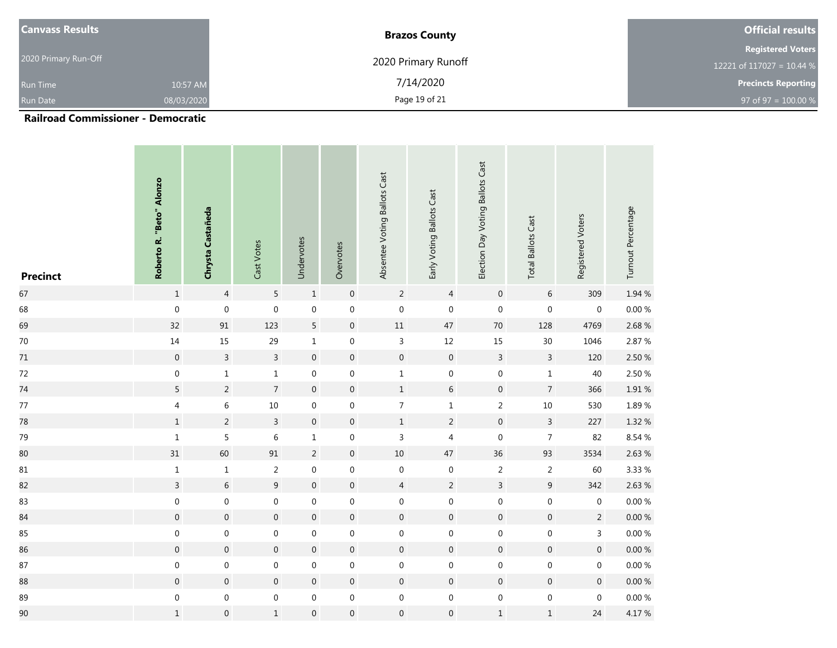| <b>Canvass Results</b> |            | <b>Brazos County</b> | <b>Official results</b>    |  |  |
|------------------------|------------|----------------------|----------------------------|--|--|
|                        |            |                      | <b>Registered Voters</b>   |  |  |
| 2020 Primary Run-Off   |            | 2020 Primary Runoff  | 12221 of 117027 = 10.44 %  |  |  |
| <b>Run Time</b>        | 10:57 AM   | 7/14/2020            | <b>Precincts Reporting</b> |  |  |
| <b>Run Date</b>        | 08/03/2020 | Page 19 of 21        | 97 of 97 = $100.00 %$      |  |  |

| <b>Precinct</b> | Roberto R. "Beto" Alonzo | Chrysta Castañeda | Cast Votes       | Undervotes       | Overvotes        | Absentee Voting Ballots Cast | Early Voting Ballots Cast | Election Day Voting Ballots Cast | <b>Total Ballots Cast</b> | Registered Voters | Turnout Percentage |
|-----------------|--------------------------|-------------------|------------------|------------------|------------------|------------------------------|---------------------------|----------------------------------|---------------------------|-------------------|--------------------|
| 67              | $\,1$                    | $\overline{4}$    | $5\overline{)}$  | $\,1\,$          | $\boldsymbol{0}$ | $\overline{2}$               | $\overline{4}$            | $\boldsymbol{0}$                 | $\sqrt{6}$                | 309               | 1.94 %             |
| 68              | $\boldsymbol{0}$         | $\boldsymbol{0}$  | $\boldsymbol{0}$ | $\boldsymbol{0}$ | $\mathbf 0$      | $\boldsymbol{0}$             | $\boldsymbol{0}$          | $\pmb{0}$                        | $\boldsymbol{0}$          | $\boldsymbol{0}$  | $0.00~\%$          |
| 69              | 32                       | $\ensuremath{91}$ | 123              | 5                | $\boldsymbol{0}$ | $11\,$                       | $47\,$                    | $70\,$                           | 128                       | 4769              | 2.68%              |
| $70\,$          | 14                       | 15                | 29               | $\mathbf{1}$     | $\boldsymbol{0}$ | $\mathsf{3}$                 | 12                        | $15\,$                           | $30\,$                    | 1046              | 2.87%              |
| 71              | $\mathbf 0$              | $\overline{3}$    | $\overline{3}$   | $\boldsymbol{0}$ | $\boldsymbol{0}$ | $\boldsymbol{0}$             | $\mathbf 0$               | $\mathsf{3}$                     | $\overline{3}$            | 120               | 2.50 %             |
| $72\,$          | $\pmb{0}$                | $\mathbf 1$       | $\mathbf 1$      | $\boldsymbol{0}$ | $\boldsymbol{0}$ | $\mathbf 1$                  | $\mathbf 0$               | $\boldsymbol{0}$                 | $\mathbf 1$               | $40\,$            | 2.50 %             |
| 74              | $\overline{5}$           | $\sqrt{2}$        | $\overline{7}$   | $\boldsymbol{0}$ | $\boldsymbol{0}$ | $\mathbf 1$                  | $\,$ 6 $\,$               | $\mathbf 0$                      | $\overline{7}$            | 366               | $1.91\,\%$         |
| $77\,$          | $\overline{4}$           | $\,$ 6 $\,$       | $10\,$           | $\boldsymbol{0}$ | $\boldsymbol{0}$ | $\overline{7}$               | $\mathbf 1$               | $\sqrt{2}$                       | $10\,$                    | 530               | 1.89%              |
| 78              | $\,1\,$                  | $\overline{2}$    | $\mathbf{3}$     | $\boldsymbol{0}$ | $\boldsymbol{0}$ | $\mathbf 1$                  | $\overline{2}$            | $\mathbf 0$                      | $\overline{3}$            | 227               | 1.32 %             |
| 79              | $\,1\,$                  | 5                 | $\boldsymbol{6}$ | $\mathbf 1$      | $\boldsymbol{0}$ | $\mathsf{3}$                 | $\overline{4}$            | $\boldsymbol{0}$                 | $\overline{\phantom{a}}$  | 82                | 8.54 %             |
| 80              | 31                       | 60                | 91               | $\overline{2}$   | $\boldsymbol{0}$ | $10$                         | 47                        | 36                               | 93                        | 3534              | 2.63 %             |
| $81\,$          | $\,1\,$                  | $\mathbf 1$       | $\overline{2}$   | $\boldsymbol{0}$ | $\boldsymbol{0}$ | $\boldsymbol{0}$             | $\boldsymbol{0}$          | $\sqrt{2}$                       | $\sqrt{2}$                | 60                | 3.33 %             |
| 82              | $\overline{3}$           | $\sqrt{6}$        | $\boldsymbol{9}$ | $\boldsymbol{0}$ | $\boldsymbol{0}$ | $\overline{4}$               | $\overline{2}$            | $\overline{3}$                   | $\boldsymbol{9}$          | 342               | 2.63 %             |
| 83              | $\boldsymbol{0}$         | $\boldsymbol{0}$  | $\boldsymbol{0}$ | $\boldsymbol{0}$ | $\boldsymbol{0}$ | 0                            | $\boldsymbol{0}$          | $\boldsymbol{0}$                 | $\mathbf 0$               | $\boldsymbol{0}$  | $0.00~\%$          |
| 84              | $\boldsymbol{0}$         | $\boldsymbol{0}$  | $\boldsymbol{0}$ | $\boldsymbol{0}$ | $\boldsymbol{0}$ | $\boldsymbol{0}$             | $\mathbf 0$               | $\mathbf 0$                      | $\boldsymbol{0}$          | $\overline{2}$    | 0.00%              |
| 85              | $\boldsymbol{0}$         | $\boldsymbol{0}$  | $\boldsymbol{0}$ | $\boldsymbol{0}$ | $\boldsymbol{0}$ | 0                            | $\boldsymbol{0}$          | $\boldsymbol{0}$                 | $\boldsymbol{0}$          | $\overline{3}$    | $0.00~\%$          |
| 86              | $\mathbf 0$              | $\boldsymbol{0}$  | $\boldsymbol{0}$ | $\boldsymbol{0}$ | $\boldsymbol{0}$ | $\boldsymbol{0}$             | $\mathbf 0$               | $\boldsymbol{0}$                 | $\boldsymbol{0}$          | $\mathbf 0$       | $0.00\,\%$         |
| 87              | $\boldsymbol{0}$         | $\boldsymbol{0}$  | $\boldsymbol{0}$ | $\boldsymbol{0}$ | $\boldsymbol{0}$ | 0                            | $\boldsymbol{0}$          | $\boldsymbol{0}$                 | $\boldsymbol{0}$          | $\boldsymbol{0}$  | $0.00~\%$          |
| 88              | $\boldsymbol{0}$         | $\mathbf 0$       | $\boldsymbol{0}$ | $\boldsymbol{0}$ | $\boldsymbol{0}$ | $\boldsymbol{0}$             | $\boldsymbol{0}$          | $\boldsymbol{0}$                 | $\boldsymbol{0}$          | $\mathbf 0$       | $0.00\,\%$         |
| 89              | $\boldsymbol{0}$         | $\boldsymbol{0}$  | $\boldsymbol{0}$ | $\boldsymbol{0}$ | $\boldsymbol{0}$ | 0                            | $\boldsymbol{0}$          | $\boldsymbol{0}$                 | $\boldsymbol{0}$          | $\boldsymbol{0}$  | $0.00~\%$          |
| 90              | $\,1\,$                  | $\boldsymbol{0}$  | $\,1\,$          | $\mathbf 0$      | $\boldsymbol{0}$ | $\boldsymbol{0}$             | $\mathbf 0$               | $\,1$                            | $\,1$                     | 24                | 4.17%              |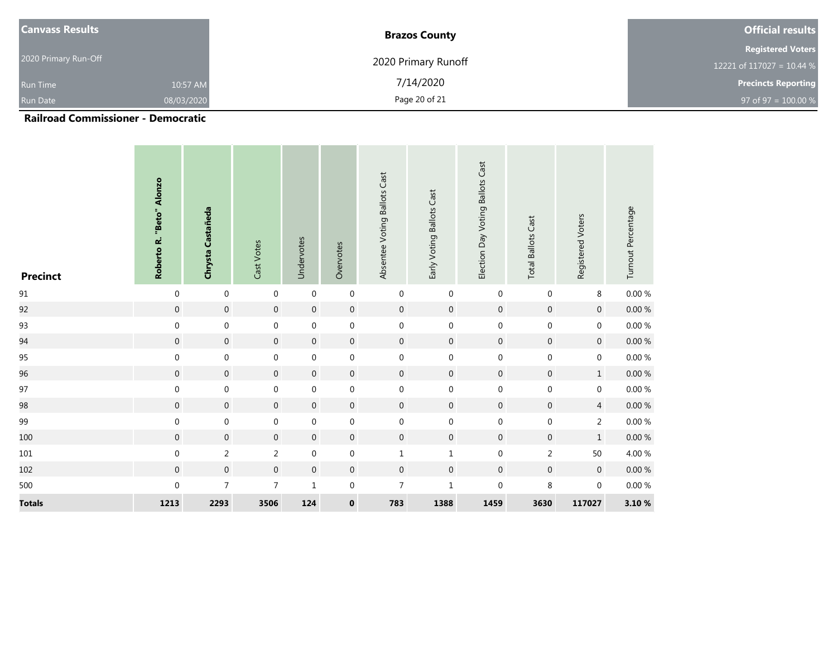| <b>Canvass Results</b> |            | <b>Brazos County</b> | <b>Official results</b>    |  |  |
|------------------------|------------|----------------------|----------------------------|--|--|
|                        |            |                      | <b>Registered Voters</b>   |  |  |
| 2020 Primary Run-Off   |            | 2020 Primary Runoff  | 12221 of 117027 = 10.44 %  |  |  |
| <b>Run Time</b>        | 10:57 AM   | 7/14/2020            | <b>Precincts Reporting</b> |  |  |
| <b>Run Date</b>        | 08/03/2020 | Page 20 of 21        | 97 of 97 = $100.00 %$      |  |  |

| <b>Precinct</b> | Roberto R. "Beto" Alonzo | Chrysta Castañeda        | Cast Votes       | Undervotes       | Overvotes        | Absentee Voting Ballots Cast | Early Voting Ballots Cast | Election Day Voting Ballots Cast | <b>Total Ballots Cast</b> | Registered Voters | Turnout Percentage |
|-----------------|--------------------------|--------------------------|------------------|------------------|------------------|------------------------------|---------------------------|----------------------------------|---------------------------|-------------------|--------------------|
| $91\,$          | $\boldsymbol{0}$         | $\boldsymbol{0}$         | $\pmb{0}$        | $\boldsymbol{0}$ | $\boldsymbol{0}$ | $\mathbf 0$                  | $\boldsymbol{0}$          | $\boldsymbol{0}$                 | $\boldsymbol{0}$          | 8                 | $0.00\,\%$         |
| 92              | $\mathbf 0$              | $\boldsymbol{0}$         | $\boldsymbol{0}$ | $\boldsymbol{0}$ | $\boldsymbol{0}$ | $\boldsymbol{0}$             | $\boldsymbol{0}$          | $\mathbf 0$                      | $\boldsymbol{0}$          | $\pmb{0}$         | $0.00\ \%$         |
| 93              | $\boldsymbol{0}$         | $\boldsymbol{0}$         | $\boldsymbol{0}$ | $\boldsymbol{0}$ | 0                | 0                            | $\boldsymbol{0}$          | $\boldsymbol{0}$                 | $\boldsymbol{0}$          | 0                 | $0.00\,\%$         |
| 94              | $\boldsymbol{0}$         | $\boldsymbol{0}$         | $\mathbf 0$      | $\boldsymbol{0}$ | $\overline{0}$   | $\mathbf 0$                  | $\boldsymbol{0}$          | $\boldsymbol{0}$                 | $\mathsf{O}\xspace$       | $\mathbf 0$       | $0.00\ \%$         |
| 95              | $\boldsymbol{0}$         | $\boldsymbol{0}$         | $\boldsymbol{0}$ | $\boldsymbol{0}$ | $\boldsymbol{0}$ | $\boldsymbol{0}$             | $\boldsymbol{0}$          | $\boldsymbol{0}$                 | $\boldsymbol{0}$          | $\boldsymbol{0}$  | $0.00~\%$          |
| 96              | $\mathbf 0$              | $\boldsymbol{0}$         | $\boldsymbol{0}$ | $\boldsymbol{0}$ | $\boldsymbol{0}$ | $\boldsymbol{0}$             | $\mathbf 0$               | $\boldsymbol{0}$                 | $\boldsymbol{0}$          | $\mathbf 1$       | $0.00\ \%$         |
| 97              | $\boldsymbol{0}$         | $\boldsymbol{0}$         | $\boldsymbol{0}$ | $\boldsymbol{0}$ | $\boldsymbol{0}$ | 0                            | $\boldsymbol{0}$          | $\boldsymbol{0}$                 | $\boldsymbol{0}$          | 0                 | $0.00\,\%$         |
| 98              | $\boldsymbol{0}$         | $\boldsymbol{0}$         | $\mathbf 0$      | $\boldsymbol{0}$ | $\boldsymbol{0}$ | $\mathbf 0$                  | $\boldsymbol{0}$          | $\boldsymbol{0}$                 | $\boldsymbol{0}$          | $\overline{4}$    | $0.00\ \%$         |
| 99              | $\boldsymbol{0}$         | $\boldsymbol{0}$         | $\boldsymbol{0}$ | $\boldsymbol{0}$ | $\boldsymbol{0}$ | 0                            | $\boldsymbol{0}$          | $\boldsymbol{0}$                 | $\boldsymbol{0}$          | $\overline{2}$    | $0.00~\%$          |
| 100             | $\mathbf 0$              | $\mathbf 0$              | $\boldsymbol{0}$ | $\boldsymbol{0}$ | $\boldsymbol{0}$ | $\boldsymbol{0}$             | $\boldsymbol{0}$          | $\mathbf 0$                      | $\boldsymbol{0}$          | $\mathbf 1$       | $0.00\ \%$         |
| $101\,$         | $\boldsymbol{0}$         | $\overline{2}$           | $\overline{c}$   | $\boldsymbol{0}$ | 0                | $\mathbf{1}$                 | $\mathbf 1$               | $\boldsymbol{0}$                 | $\overline{2}$            | 50                | 4.00 %             |
| 102             | $\boldsymbol{0}$         | $\boldsymbol{0}$         | $\boldsymbol{0}$ | $\boldsymbol{0}$ | $\boldsymbol{0}$ | $\boldsymbol{0}$             | $\boldsymbol{0}$          | $\boldsymbol{0}$                 | $\boldsymbol{0}$          | $\boldsymbol{0}$  | $0.00~\%$          |
| 500             | $\mathbf 0$              | $\overline{\phantom{a}}$ | $\overline{7}$   | $\mathbf 1$      | $\boldsymbol{0}$ | $\overline{7}$               | $\mathbf 1$               | $\boldsymbol{0}$                 | $\,8\,$                   | $\boldsymbol{0}$  | $0.00\,\%$         |
| <b>Totals</b>   | 1213                     | 2293                     | 3506             | 124              | 0                | 783                          | 1388                      | 1459                             | 3630                      | 117027            | 3.10 %             |